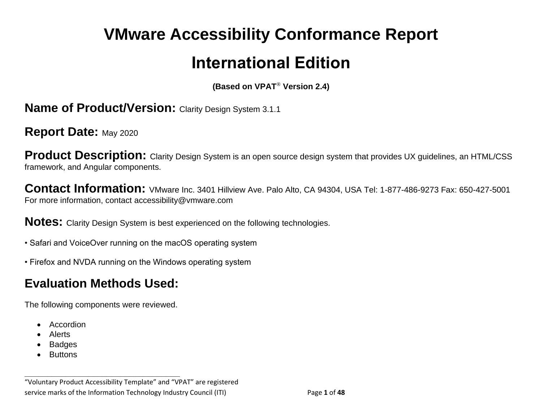# **VMware Accessibility Conformance Report International Edition**

**(Based on VPAT**® **Version 2.4)**

**Name of Product/Version: Clarity Design System 3.1.1** 

**Report Date: May 2020** 

**Product Description:** Clarity Design System is an open source design system that provides UX guidelines, an HTML/CSS framework, and Angular components.

**Contact Information:** VMware Inc. 3401 Hillview Ave. Palo Alto, CA 94304, USA Tel: 1-877-486-9273 Fax: 650-427-5001 For more information, contact accessibility@vmware.com

**Notes:** Clarity Design System is best experienced on the following technologies.

- Safari and VoiceOver running on the macOS operating system
- Firefox and NVDA running on the Windows operating system

# **Evaluation Methods Used:**

The following components were reviewed.

**\_\_\_\_\_\_\_\_\_\_\_\_\_\_\_\_\_\_\_\_\_\_\_\_\_\_\_\_\_\_\_\_\_\_**

- Accordion
- Alerts
- **Badges**
- **Buttons**

<sup>&</sup>quot;Voluntary Product Accessibility Template" and "VPAT" are registered service marks of the Information Technology Industry Council (ITI) Page **1** of **48**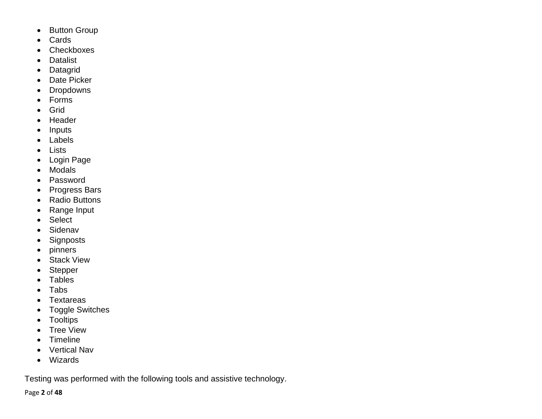- Button Group
- Cards
- Checkboxes
- Datalist
- Datagrid
- Date Picker
- Dropdowns
- Forms
- Grid
- Header
- Inputs
- Labels
- Lists
- Login Page
- Modals
- Password
- Progress Bars
- Radio Buttons
- Range Input
- Select
- Sidenav
- Signposts
- pinners
- Stack View
- Stepper
- Tables
- Tabs
- Textareas
- Toggle Switches
- Tooltips
- Tree View
- Timeline
- Vertical Nav
- Wizards

Testing was performed with the following tools and assistive technology.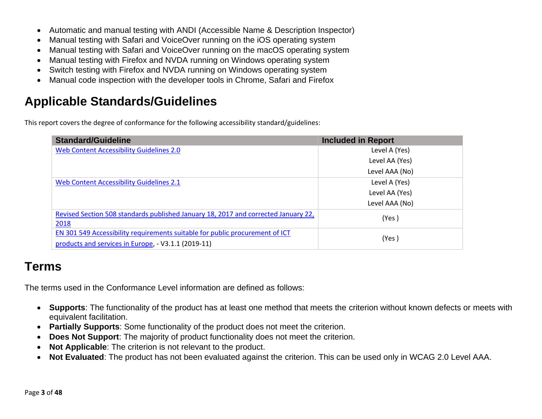- Automatic and manual testing with ANDI (Accessible Name & Description Inspector)
- Manual testing with Safari and VoiceOver running on the iOS operating system
- Manual testing with Safari and VoiceOver running on the macOS operating system
- Manual testing with Firefox and NVDA running on Windows operating system
- Switch testing with Firefox and NVDA running on Windows operating system
- Manual code inspection with the developer tools in Chrome, Safari and Firefox

### **Applicable Standards/Guidelines**

This report covers the degree of conformance for the following accessibility standard/guidelines:

| <b>Standard/Guideline</b>                                                                                                           | <b>Included in Report</b> |
|-------------------------------------------------------------------------------------------------------------------------------------|---------------------------|
| <b>Web Content Accessibility Guidelines 2.0</b>                                                                                     | Level A (Yes)             |
|                                                                                                                                     | Level AA (Yes)            |
|                                                                                                                                     | Level AAA (No)            |
| Web Content Accessibility Guidelines 2.1                                                                                            | Level A (Yes)             |
|                                                                                                                                     | Level AA (Yes)            |
|                                                                                                                                     | Level AAA (No)            |
| Revised Section 508 standards published January 18, 2017 and corrected January 22,<br>2018                                          | (Yes)                     |
| EN 301 549 Accessibility requirements suitable for public procurement of ICT<br>products and services in Europe, - V3.1.1 (2019-11) | (Yes)                     |

## **Terms**

The terms used in the Conformance Level information are defined as follows:

- **Supports**: The functionality of the product has at least one method that meets the criterion without known defects or meets with equivalent facilitation.
- **Partially Supports**: Some functionality of the product does not meet the criterion.
- **Does Not Support:** The majority of product functionality does not meet the criterion.
- **Not Applicable**: The criterion is not relevant to the product.
- **Not Evaluated**: The product has not been evaluated against the criterion. This can be used only in WCAG 2.0 Level AAA.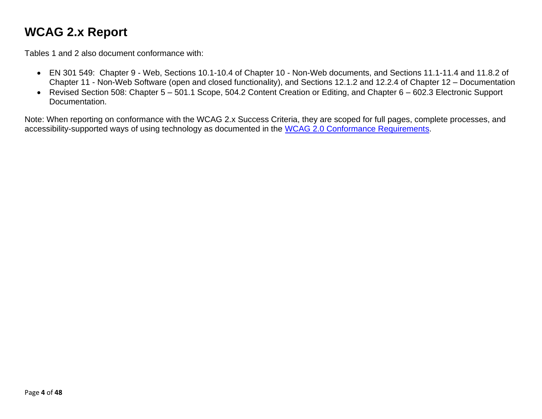## <span id="page-3-0"></span>**WCAG 2.x Report**

Tables 1 and 2 also document conformance with:

- EN 301 549: Chapter 9 Web, Sections 10.1-10.4 of Chapter 10 Non-Web documents, and Sections 11.1-11.4 and 11.8.2 of Chapter 11 - Non-Web Software (open and closed functionality), and Sections 12.1.2 and 12.2.4 of Chapter 12 – Documentation
- Revised Section 508: Chapter 5 501.1 Scope, 504.2 Content Creation or Editing, and Chapter 6 602.3 Electronic Support Documentation.

Note: When reporting on conformance with the WCAG 2.x Success Criteria, they are scoped for full pages, complete processes, and accessibility-supported ways of using technology as documented in the [WCAG 2.0 Conformance Requirements.](https://www.w3.org/TR/WCAG20/#conformance-reqs)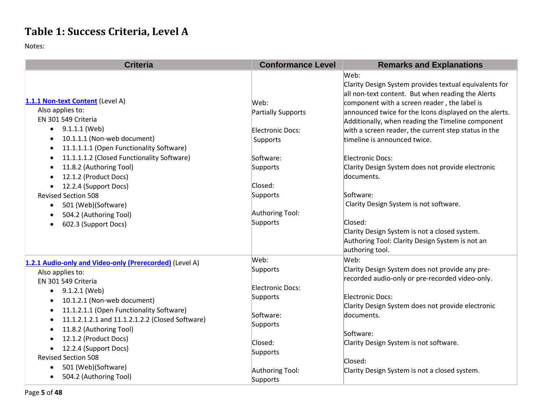## **Table 1: Success Criteria, Level A**

| <b>Criteria</b>                                                                                                                          | <b>Conformance Level</b>    | <b>Remarks and Explanations</b>                                                                                                |
|------------------------------------------------------------------------------------------------------------------------------------------|-----------------------------|--------------------------------------------------------------------------------------------------------------------------------|
|                                                                                                                                          |                             | Web:<br>Clarity Design System provides textual equivalents for<br>all non-text content. But when reading the Alerts            |
| 1.1.1 Non-text Content (Level A)                                                                                                         | Web:                        | component with a screen reader, the label is                                                                                   |
| Also applies to:<br>EN 301 549 Criteria                                                                                                  | Partially Supports          | announced twice for the Icons displayed on the alerts.<br>Additionally, when reading the Timeline component                    |
| 9.1.1.1 (Web)<br>$\bullet$                                                                                                               | Electronic Docs:            | with a screen reader, the current step status in the                                                                           |
| 10.1.1.1 (Non-web document)<br>11.1.1.1.1 (Open Functionality Software)<br>$\bullet$                                                     | Supports                    | timeline is announced twice.                                                                                                   |
| 11.1.1.1.2 (Closed Functionality Software)<br>$\bullet$                                                                                  | Software:                   | Electronic Docs:                                                                                                               |
| 11.8.2 (Authoring Tool)<br>12.1.2 (Product Docs)                                                                                         | Supports                    | Clarity Design System does not provide electronic<br>documents.                                                                |
| 12.2.4 (Support Docs)<br>$\bullet$                                                                                                       | Closed:                     |                                                                                                                                |
| <b>Revised Section 508</b>                                                                                                               | Supports                    | Software:                                                                                                                      |
| 501 (Web)(Software)<br>$\bullet$                                                                                                         |                             | Clarity Design System is not software.                                                                                         |
| 504.2 (Authoring Tool)                                                                                                                   | Authoring Tool:             |                                                                                                                                |
| 602.3 (Support Docs)<br>٠                                                                                                                | Supports                    | Closed:<br>Clarity Design System is not a closed system.<br>Authoring Tool: Clarity Design System is not an<br>authoring tool. |
| 1.2.1 Audio-only and Video-only (Prerecorded) (Level A)                                                                                  | Web:                        | Web:                                                                                                                           |
| Also applies to:                                                                                                                         | Supports                    | Clarity Design System does not provide any pre-                                                                                |
| EN 301 549 Criteria<br>$\bullet$ 9.1.2.1 (Web)                                                                                           | Electronic Docs:            | recorded audio-only or pre-recorded video-only.                                                                                |
| 10.1.2.1 (Non-web document)<br>$\bullet$                                                                                                 | Supports                    | Electronic Docs:                                                                                                               |
| 11.1.2.1.1 (Open Functionality Software)<br>$\bullet$<br>11.1.2.1.2.1 and 11.1.2.1.2.2 (Closed Software)<br>٠<br>11.8.2 (Authoring Tool) | Software:<br>Supports       | Clarity Design System does not provide electronic<br>documents.                                                                |
| 12.1.2 (Product Docs)                                                                                                                    |                             | Software:                                                                                                                      |
| 12.2.4 (Support Docs)                                                                                                                    | Closed:                     | Clarity Design System is not software.                                                                                         |
| $\bullet$<br><b>Revised Section 508</b>                                                                                                  | Supports                    |                                                                                                                                |
|                                                                                                                                          |                             | Closed:                                                                                                                        |
| 501 (Web)(Software)<br>$\bullet$<br>504.2 (Authoring Tool)<br>$\bullet$                                                                  | Authoring Tool:<br>Supports | Clarity Design System is not a closed system.                                                                                  |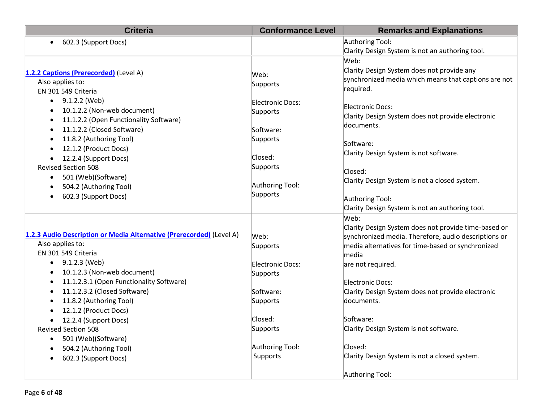| <b>Criteria</b>                                                      | <b>Conformance Level</b>    | <b>Remarks and Explanations</b>                          |
|----------------------------------------------------------------------|-----------------------------|----------------------------------------------------------|
| 602.3 (Support Docs)                                                 |                             | Authoring Tool:                                          |
|                                                                      |                             | Clarity Design System is not an authoring tool.          |
|                                                                      |                             | Web:                                                     |
| 1.2.2 Captions (Prerecorded) (Level A)                               | Web:                        | Clarity Design System does not provide any               |
| Also applies to:                                                     | Supports                    | synchronized media which means that captions are not     |
| EN 301 549 Criteria                                                  |                             | required.                                                |
| 9.1.2.2 (Web)<br>$\bullet$                                           | <b>Electronic Docs:</b>     |                                                          |
| 10.1.2.2 (Non-web document)                                          | Supports                    | <b>Electronic Docs:</b>                                  |
| 11.1.2.2 (Open Functionality Software)                               |                             | Clarity Design System does not provide electronic        |
| 11.1.2.2 (Closed Software)                                           | Software:                   | documents.                                               |
| 11.8.2 (Authoring Tool)                                              | Supports                    |                                                          |
| 12.1.2 (Product Docs)                                                |                             | Software:                                                |
| 12.2.4 (Support Docs)                                                | Closed:                     | Clarity Design System is not software.                   |
| <b>Revised Section 508</b>                                           | Supports                    | Closed:                                                  |
| 501 (Web)(Software)<br>$\bullet$                                     |                             | Clarity Design System is not a closed system.            |
| 504.2 (Authoring Tool)                                               | Authoring Tool:             |                                                          |
| 602.3 (Support Docs)                                                 | Supports                    | Authoring Tool:                                          |
|                                                                      |                             | Clarity Design System is not an authoring tool.          |
|                                                                      |                             | Web:                                                     |
|                                                                      |                             | Clarity Design System does not provide time-based or     |
| 1.2.3 Audio Description or Media Alternative (Prerecorded) (Level A) | Web:                        | synchronized media. Therefore, audio descriptions or     |
| Also applies to:                                                     | Supports                    | media alternatives for time-based or synchronized        |
| EN 301 549 Criteria                                                  |                             | media                                                    |
| 9.1.2.3 (Web)<br>$\bullet$                                           | <b>Electronic Docs:</b>     | are not required.                                        |
| 10.1.2.3 (Non-web document)                                          | Supports                    |                                                          |
| 11.1.2.3.1 (Open Functionality Software)                             |                             | <b>Electronic Docs:</b>                                  |
| 11.1.2.3.2 (Closed Software)                                         | Software:                   | Clarity Design System does not provide electronic        |
| 11.8.2 (Authoring Tool)                                              | Supports                    | documents.                                               |
| 12.1.2 (Product Docs)                                                |                             |                                                          |
| 12.2.4 (Support Docs)                                                | Closed:                     | Software:                                                |
| <b>Revised Section 508</b>                                           | Supports                    | Clarity Design System is not software.                   |
| 501 (Web)(Software)<br>$\bullet$                                     |                             |                                                          |
| 504.2 (Authoring Tool)                                               | Authoring Tool:<br>Supports | Closed:<br>Clarity Design System is not a closed system. |
| 602.3 (Support Docs)                                                 |                             |                                                          |
|                                                                      |                             | Authoring Tool:                                          |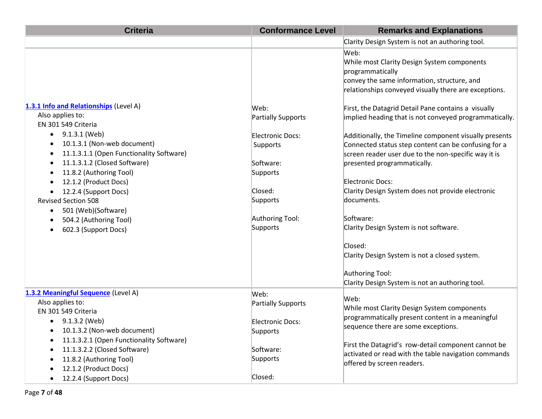| <b>Criteria</b>                                                                                                                                                                                                                                                                                                                                                                        | <b>Conformance Level</b>                                                                                          | <b>Remarks and Explanations</b>                                                                                                                                                                                                                                                                                                                                                                                                                                                                                                                                                                         |
|----------------------------------------------------------------------------------------------------------------------------------------------------------------------------------------------------------------------------------------------------------------------------------------------------------------------------------------------------------------------------------------|-------------------------------------------------------------------------------------------------------------------|---------------------------------------------------------------------------------------------------------------------------------------------------------------------------------------------------------------------------------------------------------------------------------------------------------------------------------------------------------------------------------------------------------------------------------------------------------------------------------------------------------------------------------------------------------------------------------------------------------|
|                                                                                                                                                                                                                                                                                                                                                                                        |                                                                                                                   | Clarity Design System is not an authoring tool.                                                                                                                                                                                                                                                                                                                                                                                                                                                                                                                                                         |
| 1.3.1 Info and Relationships (Level A)<br>Also applies to:<br>EN 301 549 Criteria<br>9.1.3.1 (Web)<br>$\bullet$<br>10.1.3.1 (Non-web document)<br>11.1.3.1.1 (Open Functionality Software)<br>$\bullet$<br>11.1.3.1.2 (Closed Software)<br>11.8.2 (Authoring Tool)<br>12.1.2 (Product Docs)<br>12.2.4 (Support Docs)<br><b>Revised Section 508</b><br>501 (Web)(Software)<br>$\bullet$ | Web:<br><b>Partially Supports</b><br>Electronic Docs:<br>Supports<br>Software:<br>Supports<br>Closed:<br>Supports | Web:<br>While most Clarity Design System components<br>programmatically<br>convey the same information, structure, and<br>relationships conveyed visually there are exceptions.<br>First, the Datagrid Detail Pane contains a visually<br>implied heading that is not conveyed programmatically.<br>Additionally, the Timeline component visually presents<br>Connected status step content can be confusing for a<br>screen reader user due to the non-specific way it is<br>presented programmatically.<br><b>Electronic Docs:</b><br>Clarity Design System does not provide electronic<br>documents. |
| 504.2 (Authoring Tool)<br>602.3 (Support Docs)                                                                                                                                                                                                                                                                                                                                         | Authoring Tool:<br>Supports                                                                                       | Software:<br>Clarity Design System is not software.<br>Closed:<br>Clarity Design System is not a closed system.<br>Authoring Tool:<br>Clarity Design System is not an authoring tool.                                                                                                                                                                                                                                                                                                                                                                                                                   |
| 1.3.2 Meaningful Sequence (Level A)                                                                                                                                                                                                                                                                                                                                                    | Web:                                                                                                              |                                                                                                                                                                                                                                                                                                                                                                                                                                                                                                                                                                                                         |
| Also applies to:<br>EN 301 549 Criteria                                                                                                                                                                                                                                                                                                                                                | Partially Supports                                                                                                | Web:<br>While most Clarity Design System components<br>programmatically present content in a meaningful                                                                                                                                                                                                                                                                                                                                                                                                                                                                                                 |
| 9.1.3.2 (Web)<br>$\bullet$<br>10.1.3.2 (Non-web document)                                                                                                                                                                                                                                                                                                                              | Electronic Docs:<br>Supports                                                                                      | sequence there are some exceptions.                                                                                                                                                                                                                                                                                                                                                                                                                                                                                                                                                                     |
| 11.1.3.2.1 (Open Functionality Software)<br>11.1.3.2.2 (Closed Software)<br>11.8.2 (Authoring Tool)<br>12.1.2 (Product Docs)                                                                                                                                                                                                                                                           | Software:<br>Supports                                                                                             | First the Datagrid's row-detail component cannot be<br>activated or read with the table navigation commands<br>offered by screen readers.                                                                                                                                                                                                                                                                                                                                                                                                                                                               |
| 12.2.4 (Support Docs)                                                                                                                                                                                                                                                                                                                                                                  | Closed:                                                                                                           |                                                                                                                                                                                                                                                                                                                                                                                                                                                                                                                                                                                                         |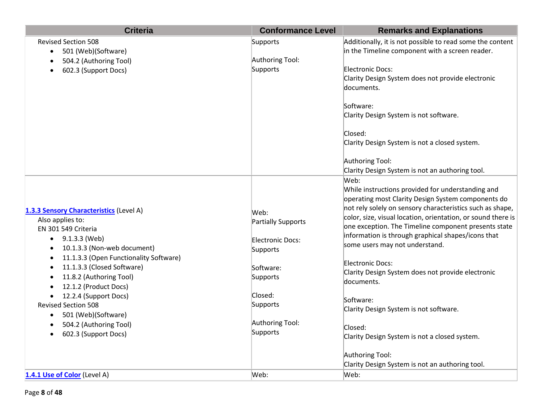| <b>Criteria</b>                         | <b>Conformance Level</b> | <b>Remarks and Explanations</b>                              |
|-----------------------------------------|--------------------------|--------------------------------------------------------------|
| <b>Revised Section 508</b>              | Supports                 | Additionally, it is not possible to read some the content    |
| 501 (Web)(Software)<br>$\bullet$        |                          | in the Timeline component with a screen reader.              |
| 504.2 (Authoring Tool)                  | Authoring Tool:          |                                                              |
| 602.3 (Support Docs)                    | Supports                 | Electronic Docs:                                             |
|                                         |                          | Clarity Design System does not provide electronic            |
|                                         |                          | documents.                                                   |
|                                         |                          | Software:                                                    |
|                                         |                          | Clarity Design System is not software.                       |
|                                         |                          | Closed:                                                      |
|                                         |                          | Clarity Design System is not a closed system.                |
|                                         |                          | Authoring Tool:                                              |
|                                         |                          | Clarity Design System is not an authoring tool.              |
|                                         |                          | Web:                                                         |
|                                         |                          | While instructions provided for understanding and            |
|                                         |                          | operating most Clarity Design System components do           |
| 1.3.3 Sensory Characteristics (Level A) |                          | not rely solely on sensory characteristics such as shape,    |
| Also applies to:                        | Web:                     | color, size, visual location, orientation, or sound there is |
| EN 301 549 Criteria                     | Partially Supports       | one exception. The Timeline component presents state         |
| 9.1.3.3 (Web)                           | Electronic Docs:         | information is through graphical shapes/icons that           |
| 10.1.3.3 (Non-web document)             | Supports                 | some users may not understand.                               |
| 11.1.3.3 (Open Functionality Software)  |                          |                                                              |
| 11.1.3.3 (Closed Software)              | Software:                | Electronic Docs:                                             |
| 11.8.2 (Authoring Tool)                 | Supports                 | Clarity Design System does not provide electronic            |
| 12.1.2 (Product Docs)                   |                          | documents.                                                   |
| 12.2.4 (Support Docs)                   | Closed:                  |                                                              |
| <b>Revised Section 508</b>              | Supports                 | Software:                                                    |
| 501 (Web)(Software)<br>$\bullet$        |                          | Clarity Design System is not software.                       |
| 504.2 (Authoring Tool)                  | Authoring Tool:          |                                                              |
| 602.3 (Support Docs)                    | Supports                 | Closed:                                                      |
|                                         |                          | Clarity Design System is not a closed system.                |
|                                         |                          | Authoring Tool:                                              |
|                                         |                          | Clarity Design System is not an authoring tool.              |
| 1.4.1 Use of Color (Level A)            | Web:                     | Web:                                                         |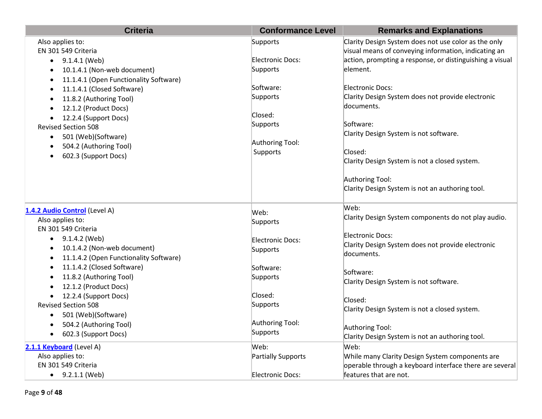| <b>Criteria</b>                                                            | <b>Conformance Level</b> | <b>Remarks and Explanations</b>                                              |
|----------------------------------------------------------------------------|--------------------------|------------------------------------------------------------------------------|
| Also applies to:                                                           | Supports                 | Clarity Design System does not use color as the only                         |
| EN 301 549 Criteria                                                        | Electronic Docs:         | visual means of conveying information, indicating an                         |
| $\bullet$ 9.1.4.1 (Web)                                                    | Supports                 | action, prompting a response, or distinguishing a visual<br>element.         |
| 10.1.4.1 (Non-web document)<br>$\bullet$                                   |                          |                                                                              |
| 11.1.4.1 (Open Functionality Software)<br>$\bullet$                        | Software:                | <b>Electronic Docs:</b>                                                      |
| 11.1.4.1 (Closed Software)<br>$\bullet$                                    | Supports                 | Clarity Design System does not provide electronic                            |
| 11.8.2 (Authoring Tool)<br>$\bullet$<br>12.1.2 (Product Docs)<br>$\bullet$ |                          | documents.                                                                   |
| 12.2.4 (Support Docs)<br>$\bullet$                                         | Closed:                  |                                                                              |
| <b>Revised Section 508</b>                                                 | Supports                 | Software:                                                                    |
| 501 (Web)(Software)<br>٠                                                   |                          | Clarity Design System is not software.                                       |
| 504.2 (Authoring Tool)<br>$\bullet$                                        | Authoring Tool:          |                                                                              |
| 602.3 (Support Docs)<br>$\bullet$                                          | Supports                 | Closed:                                                                      |
|                                                                            |                          | Clarity Design System is not a closed system.                                |
|                                                                            |                          | Authoring Tool:                                                              |
|                                                                            |                          | Clarity Design System is not an authoring tool.                              |
|                                                                            |                          |                                                                              |
| 1.4.2 Audio Control (Level A)                                              | Web:                     | Web:                                                                         |
| Also applies to:                                                           | Supports                 | Clarity Design System components do not play audio.                          |
| EN 301 549 Criteria                                                        |                          |                                                                              |
| 9.1.4.2 (Web)                                                              | <b>Electronic Docs:</b>  | <b>Electronic Docs:</b><br>Clarity Design System does not provide electronic |
| 10.1.4.2 (Non-web document)                                                | Supports                 | documents.                                                                   |
| 11.1.4.2 (Open Functionality Software)                                     |                          |                                                                              |
| 11.1.4.2 (Closed Software)                                                 | Software:                | Software:                                                                    |
| 11.8.2 (Authoring Tool)                                                    | Supports                 | Clarity Design System is not software.                                       |
| 12.1.2 (Product Docs)                                                      |                          |                                                                              |
| 12.2.4 (Support Docs)                                                      | Closed:                  | Closed:                                                                      |
| <b>Revised Section 508</b>                                                 | Supports                 | Clarity Design System is not a closed system.                                |
| 501 (Web)(Software)                                                        | Authoring Tool:          |                                                                              |
| 504.2 (Authoring Tool)                                                     | Supports                 | Authoring Tool:                                                              |
| 602.3 (Support Docs)<br>$\bullet$                                          |                          | Clarity Design System is not an authoring tool.                              |
| 2.1.1 Keyboard (Level A)                                                   | Web:                     | Web:                                                                         |
| Also applies to:                                                           | Partially Supports       | While many Clarity Design System components are                              |
| EN 301 549 Criteria                                                        |                          | operable through a keyboard interface there are several                      |
| $\bullet$ 9.2.1.1 (Web)                                                    | <b>Electronic Docs:</b>  | features that are not.                                                       |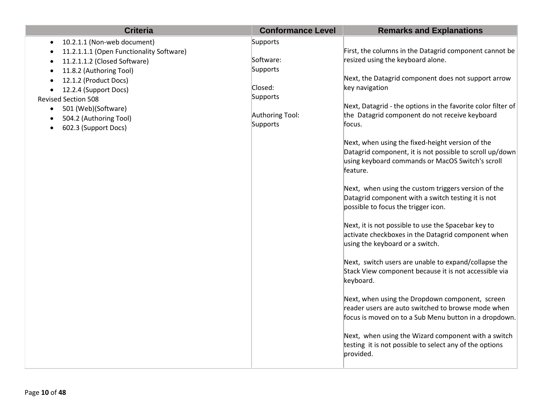| <b>Criteria</b>                                                          | <b>Conformance Level</b> | <b>Remarks and Explanations</b>                                                                                                                                              |
|--------------------------------------------------------------------------|--------------------------|------------------------------------------------------------------------------------------------------------------------------------------------------------------------------|
| 10.2.1.1 (Non-web document)<br>$\bullet$                                 | Supports                 |                                                                                                                                                                              |
| 11.2.1.1.1 (Open Functionality Software)<br>$\bullet$                    |                          | First, the columns in the Datagrid component cannot be                                                                                                                       |
| 11.2.1.1.2 (Closed Software)<br>$\bullet$                                | Software:                | resized using the keyboard alone.                                                                                                                                            |
| 11.8.2 (Authoring Tool)<br>$\bullet$                                     | Supports                 |                                                                                                                                                                              |
| 12.1.2 (Product Docs)                                                    | Closed:                  | Next, the Datagrid component does not support arrow                                                                                                                          |
| 12.2.4 (Support Docs)                                                    | Supports                 | key navigation                                                                                                                                                               |
| <b>Revised Section 508</b>                                               |                          | Next, Datagrid - the options in the favorite color filter of                                                                                                                 |
| 501 (Web)(Software)<br>$\bullet$                                         | Authoring Tool:          | the Datagrid component do not receive keyboard                                                                                                                               |
| 504.2 (Authoring Tool)<br>$\bullet$<br>602.3 (Support Docs)<br>$\bullet$ | Supports                 | focus.                                                                                                                                                                       |
|                                                                          |                          |                                                                                                                                                                              |
|                                                                          |                          | Next, when using the fixed-height version of the<br>Datagrid component, it is not possible to scroll up/down<br>using keyboard commands or MacOS Switch's scroll<br>feature. |
|                                                                          |                          | Next, when using the custom triggers version of the<br>Datagrid component with a switch testing it is not<br>possible to focus the trigger icon.                             |
|                                                                          |                          | Next, it is not possible to use the Spacebar key to<br>activate checkboxes in the Datagrid component when<br>using the keyboard or a switch.                                 |
|                                                                          |                          | Next, switch users are unable to expand/collapse the<br>Stack View component because it is not accessible via<br>keyboard.                                                   |
|                                                                          |                          | Next, when using the Dropdown component, screen<br>reader users are auto switched to browse mode when<br>focus is moved on to a Sub Menu button in a dropdown.               |
|                                                                          |                          | Next, when using the Wizard component with a switch<br>testing it is not possible to select any of the options<br>provided.                                                  |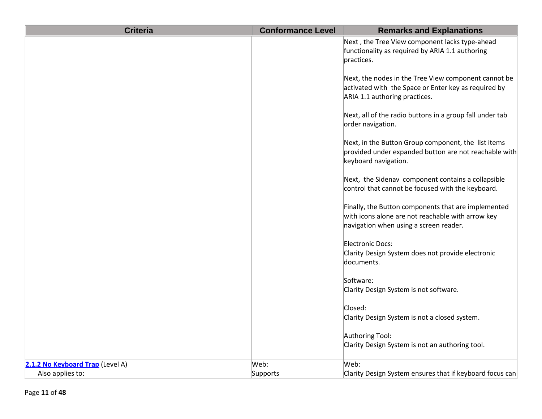| <b>Criteria</b>                  | <b>Conformance Level</b> | <b>Remarks and Explanations</b>                                                                                                                    |
|----------------------------------|--------------------------|----------------------------------------------------------------------------------------------------------------------------------------------------|
|                                  |                          | Next, the Tree View component lacks type-ahead<br>functionality as required by ARIA 1.1 authoring<br>practices.                                    |
|                                  |                          | Next, the nodes in the Tree View component cannot be<br>activated with the Space or Enter key as required by<br>ARIA 1.1 authoring practices.      |
|                                  |                          | Next, all of the radio buttons in a group fall under tab<br>order navigation.                                                                      |
|                                  |                          | Next, in the Button Group component, the list items<br>provided under expanded button are not reachable with<br>keyboard navigation.               |
|                                  |                          | Next, the Sidenav component contains a collapsible<br>control that cannot be focused with the keyboard.                                            |
|                                  |                          | Finally, the Button components that are implemented<br>with icons alone are not reachable with arrow key<br>navigation when using a screen reader. |
|                                  |                          | Electronic Docs:<br>Clarity Design System does not provide electronic<br>documents.                                                                |
|                                  |                          | Software:<br>Clarity Design System is not software.                                                                                                |
|                                  |                          | Closed:<br>Clarity Design System is not a closed system.                                                                                           |
|                                  |                          | Authoring Tool:<br>Clarity Design System is not an authoring tool.                                                                                 |
| 2.1.2 No Keyboard Trap (Level A) | Web:                     | Web:                                                                                                                                               |
| Also applies to:                 | Supports                 | Clarity Design System ensures that if keyboard focus can                                                                                           |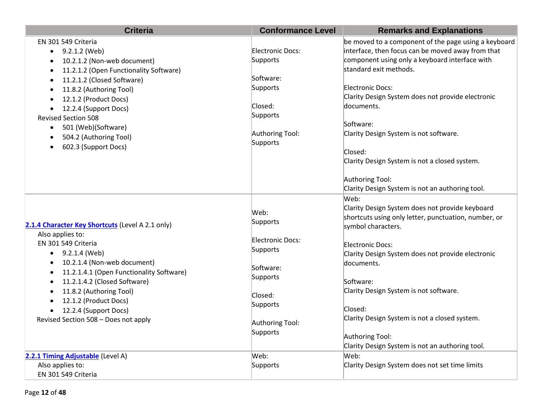| <b>Criteria</b>                                     | <b>Conformance Level</b> | <b>Remarks and Explanations</b>                          |
|-----------------------------------------------------|--------------------------|----------------------------------------------------------|
| EN 301 549 Criteria                                 |                          | be moved to a component of the page using a keyboard     |
| 9.2.1.2 (Web)<br>$\bullet$                          | Electronic Docs:         | interface, then focus can be moved away from that        |
| 10.2.1.2 (Non-web document)<br>$\bullet$            | Supports                 | component using only a keyboard interface with           |
| 11.2.1.2 (Open Functionality Software)<br>$\bullet$ |                          | standard exit methods.                                   |
| 11.2.1.2 (Closed Software)<br>$\bullet$             | Software:                |                                                          |
| 11.8.2 (Authoring Tool)<br>$\bullet$                | Supports                 | Electronic Docs:                                         |
| 12.1.2 (Product Docs)<br>$\bullet$                  |                          | Clarity Design System does not provide electronic        |
| 12.2.4 (Support Docs)<br>$\bullet$                  | Closed:                  | documents.                                               |
| <b>Revised Section 508</b>                          | Supports                 | Software:                                                |
| 501 (Web)(Software)<br>$\bullet$                    | Authoring Tool:          | Clarity Design System is not software.                   |
| 504.2 (Authoring Tool)<br>$\bullet$                 | Supports                 |                                                          |
| 602.3 (Support Docs)<br>$\bullet$                   |                          | Closed:                                                  |
|                                                     |                          | Clarity Design System is not a closed system.            |
|                                                     |                          |                                                          |
|                                                     |                          | Authoring Tool:                                          |
|                                                     |                          | Clarity Design System is not an authoring tool.          |
|                                                     |                          | Web:                                                     |
|                                                     |                          | Clarity Design System does not provide keyboard          |
|                                                     | Web:<br>Supports         | shortcuts using only letter, punctuation, number, or     |
| 2.1.4 Character Key Shortcuts (Level A 2.1 only)    |                          | symbol characters.                                       |
| Also applies to:                                    | <b>Electronic Docs:</b>  |                                                          |
| EN 301 549 Criteria                                 | Supports                 | Electronic Docs:                                         |
| 9.2.1.4 (Web)                                       |                          | Clarity Design System does not provide electronic        |
| 10.2.1.4 (Non-web document)                         | Software:                | documents.                                               |
| 11.2.1.4.1 (Open Functionality Software)            | Supports                 |                                                          |
| 11.2.1.4.2 (Closed Software)                        |                          | Software:                                                |
| 11.8.2 (Authoring Tool)                             | Closed:                  | Clarity Design System is not software.                   |
| 12.1.2 (Product Docs)                               | Supports                 |                                                          |
| 12.2.4 (Support Docs)                               |                          | Closed:<br>Clarity Design System is not a closed system. |
| Revised Section 508 - Does not apply                | Authoring Tool:          |                                                          |
|                                                     | Supports                 | Authoring Tool:                                          |
|                                                     |                          | Clarity Design System is not an authoring tool.          |
| 2.2.1 Timing Adjustable (Level A)                   | Web:                     | Web:                                                     |
| Also applies to:                                    | Supports                 | Clarity Design System does not set time limits           |
| EN 301 549 Criteria                                 |                          |                                                          |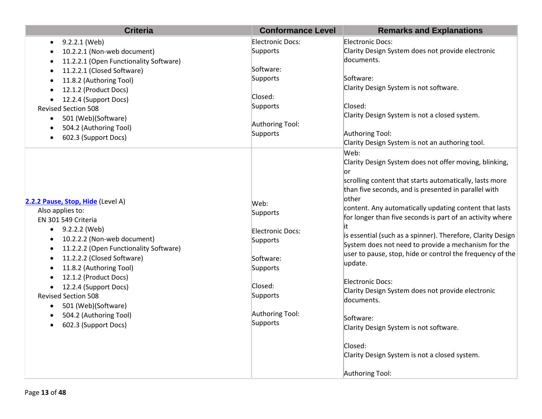| Electronic Docs:<br>Electronic Docs:<br>9.2.2.1 (Web)<br>Clarity Design System does not provide electronic<br>Supports<br>10.2.2.1 (Non-web document)<br>documents.<br>11.2.2.1 (Open Functionality Software)<br>Software:<br>11.2.2.1 (Closed Software)<br>Supports<br>Software:<br>11.8.2 (Authoring Tool)<br>Clarity Design System is not software.<br>12.1.2 (Product Docs)<br>Closed:<br>12.2.4 (Support Docs)<br>Supports<br>Closed:<br><b>Revised Section 508</b><br>Clarity Design System is not a closed system.<br>501 (Web)(Software)<br>$\bullet$<br>Authoring Tool:<br>504.2 (Authoring Tool)<br>Supports<br>Authoring Tool:<br>602.3 (Support Docs)<br>Clarity Design System is not an authoring tool.<br>Web:<br>Clarity Design System does not offer moving, blinking, | <b>Criteria</b> | <b>Conformance Level</b> | <b>Remarks and Explanations</b>                             |
|----------------------------------------------------------------------------------------------------------------------------------------------------------------------------------------------------------------------------------------------------------------------------------------------------------------------------------------------------------------------------------------------------------------------------------------------------------------------------------------------------------------------------------------------------------------------------------------------------------------------------------------------------------------------------------------------------------------------------------------------------------------------------------------|-----------------|--------------------------|-------------------------------------------------------------|
|                                                                                                                                                                                                                                                                                                                                                                                                                                                                                                                                                                                                                                                                                                                                                                                        |                 |                          |                                                             |
|                                                                                                                                                                                                                                                                                                                                                                                                                                                                                                                                                                                                                                                                                                                                                                                        |                 |                          |                                                             |
|                                                                                                                                                                                                                                                                                                                                                                                                                                                                                                                                                                                                                                                                                                                                                                                        |                 |                          |                                                             |
|                                                                                                                                                                                                                                                                                                                                                                                                                                                                                                                                                                                                                                                                                                                                                                                        |                 |                          |                                                             |
|                                                                                                                                                                                                                                                                                                                                                                                                                                                                                                                                                                                                                                                                                                                                                                                        |                 |                          |                                                             |
|                                                                                                                                                                                                                                                                                                                                                                                                                                                                                                                                                                                                                                                                                                                                                                                        |                 |                          |                                                             |
|                                                                                                                                                                                                                                                                                                                                                                                                                                                                                                                                                                                                                                                                                                                                                                                        |                 |                          |                                                             |
|                                                                                                                                                                                                                                                                                                                                                                                                                                                                                                                                                                                                                                                                                                                                                                                        |                 |                          |                                                             |
|                                                                                                                                                                                                                                                                                                                                                                                                                                                                                                                                                                                                                                                                                                                                                                                        |                 |                          |                                                             |
|                                                                                                                                                                                                                                                                                                                                                                                                                                                                                                                                                                                                                                                                                                                                                                                        |                 |                          |                                                             |
|                                                                                                                                                                                                                                                                                                                                                                                                                                                                                                                                                                                                                                                                                                                                                                                        |                 |                          |                                                             |
|                                                                                                                                                                                                                                                                                                                                                                                                                                                                                                                                                                                                                                                                                                                                                                                        |                 |                          |                                                             |
|                                                                                                                                                                                                                                                                                                                                                                                                                                                                                                                                                                                                                                                                                                                                                                                        |                 |                          |                                                             |
| lor                                                                                                                                                                                                                                                                                                                                                                                                                                                                                                                                                                                                                                                                                                                                                                                    |                 |                          |                                                             |
|                                                                                                                                                                                                                                                                                                                                                                                                                                                                                                                                                                                                                                                                                                                                                                                        |                 |                          | scrolling content that starts automatically, lasts more     |
|                                                                                                                                                                                                                                                                                                                                                                                                                                                                                                                                                                                                                                                                                                                                                                                        |                 |                          | than five seconds, and is presented in parallel with        |
| other                                                                                                                                                                                                                                                                                                                                                                                                                                                                                                                                                                                                                                                                                                                                                                                  |                 |                          |                                                             |
| 2.2.2 Pause, Stop, Hide (Level A)<br>Web:                                                                                                                                                                                                                                                                                                                                                                                                                                                                                                                                                                                                                                                                                                                                              |                 |                          | content. Any automatically updating content that lasts      |
| Also applies to:<br>Supports<br>EN 301 549 Criteria                                                                                                                                                                                                                                                                                                                                                                                                                                                                                                                                                                                                                                                                                                                                    |                 |                          | for longer than five seconds is part of an activity where   |
| it                                                                                                                                                                                                                                                                                                                                                                                                                                                                                                                                                                                                                                                                                                                                                                                     |                 |                          |                                                             |
| 9.2.2.2 (Web)<br>$\bullet$<br>Electronic Docs:<br>10.2.2.2 (Non-web document)                                                                                                                                                                                                                                                                                                                                                                                                                                                                                                                                                                                                                                                                                                          |                 |                          | is essential (such as a spinner). Therefore, Clarity Design |
| Supports<br>11.2.2.2 (Open Functionality Software)                                                                                                                                                                                                                                                                                                                                                                                                                                                                                                                                                                                                                                                                                                                                     |                 |                          | System does not need to provide a mechanism for the         |
| 11.2.2.2 (Closed Software)                                                                                                                                                                                                                                                                                                                                                                                                                                                                                                                                                                                                                                                                                                                                                             |                 |                          | user to pause, stop, hide or control the frequency of the   |
| Software:<br>update.                                                                                                                                                                                                                                                                                                                                                                                                                                                                                                                                                                                                                                                                                                                                                                   |                 |                          |                                                             |
| 11.8.2 (Authoring Tool)<br>Supports                                                                                                                                                                                                                                                                                                                                                                                                                                                                                                                                                                                                                                                                                                                                                    |                 |                          |                                                             |
| 12.1.2 (Product Docs)<br>Electronic Docs:<br>Closed:                                                                                                                                                                                                                                                                                                                                                                                                                                                                                                                                                                                                                                                                                                                                   |                 |                          |                                                             |
| 12.2.4 (Support Docs)<br>Clarity Design System does not provide electronic<br><b>Revised Section 508</b><br>Supports                                                                                                                                                                                                                                                                                                                                                                                                                                                                                                                                                                                                                                                                   |                 |                          |                                                             |
| documents.<br>501 (Web)(Software)                                                                                                                                                                                                                                                                                                                                                                                                                                                                                                                                                                                                                                                                                                                                                      |                 |                          |                                                             |
| ٠<br>Authoring Tool:<br>504.2 (Authoring Tool)                                                                                                                                                                                                                                                                                                                                                                                                                                                                                                                                                                                                                                                                                                                                         |                 |                          |                                                             |
| Software:<br>Supports                                                                                                                                                                                                                                                                                                                                                                                                                                                                                                                                                                                                                                                                                                                                                                  |                 |                          |                                                             |
| 602.3 (Support Docs)<br>Clarity Design System is not software.                                                                                                                                                                                                                                                                                                                                                                                                                                                                                                                                                                                                                                                                                                                         |                 |                          |                                                             |
| Closed:                                                                                                                                                                                                                                                                                                                                                                                                                                                                                                                                                                                                                                                                                                                                                                                |                 |                          |                                                             |
| Clarity Design System is not a closed system.                                                                                                                                                                                                                                                                                                                                                                                                                                                                                                                                                                                                                                                                                                                                          |                 |                          |                                                             |
| Authoring Tool:                                                                                                                                                                                                                                                                                                                                                                                                                                                                                                                                                                                                                                                                                                                                                                        |                 |                          |                                                             |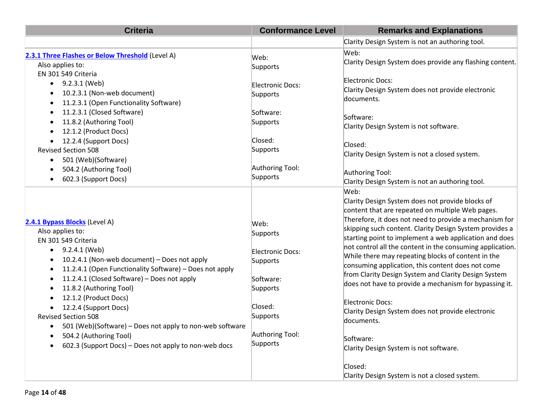| <b>Criteria</b>                                                                                                                                                                                                                                                                                                                                                                                                                                                                                                                                                                | <b>Conformance Level</b>                                                                                                        | <b>Remarks and Explanations</b>                                                                                                                                                                                                                                                                                                                                                                                                                                                                                                                                                                                                                                                                                                                                                                 |
|--------------------------------------------------------------------------------------------------------------------------------------------------------------------------------------------------------------------------------------------------------------------------------------------------------------------------------------------------------------------------------------------------------------------------------------------------------------------------------------------------------------------------------------------------------------------------------|---------------------------------------------------------------------------------------------------------------------------------|-------------------------------------------------------------------------------------------------------------------------------------------------------------------------------------------------------------------------------------------------------------------------------------------------------------------------------------------------------------------------------------------------------------------------------------------------------------------------------------------------------------------------------------------------------------------------------------------------------------------------------------------------------------------------------------------------------------------------------------------------------------------------------------------------|
|                                                                                                                                                                                                                                                                                                                                                                                                                                                                                                                                                                                |                                                                                                                                 | Clarity Design System is not an authoring tool.                                                                                                                                                                                                                                                                                                                                                                                                                                                                                                                                                                                                                                                                                                                                                 |
| 2.3.1 Three Flashes or Below Threshold (Level A)<br>Also applies to:<br>EN 301 549 Criteria                                                                                                                                                                                                                                                                                                                                                                                                                                                                                    | Web:<br>Supports                                                                                                                | Web:<br>Clarity Design System does provide any flashing content.                                                                                                                                                                                                                                                                                                                                                                                                                                                                                                                                                                                                                                                                                                                                |
| 9.2.3.1 (Web)<br>$\bullet$<br>10.2.3.1 (Non-web document)<br>11.2.3.1 (Open Functionality Software)<br>11.2.3.1 (Closed Software)<br>$\bullet$<br>11.8.2 (Authoring Tool)                                                                                                                                                                                                                                                                                                                                                                                                      | Electronic Docs:<br>Supports<br>Software:<br>Supports                                                                           | Electronic Docs:<br>Clarity Design System does not provide electronic<br>documents.<br>Software:<br>Clarity Design System is not software.                                                                                                                                                                                                                                                                                                                                                                                                                                                                                                                                                                                                                                                      |
| 12.1.2 (Product Docs)<br>12.2.4 (Support Docs)<br><b>Revised Section 508</b><br>501 (Web)(Software)<br>504.2 (Authoring Tool)<br>602.3 (Support Docs)<br>$\bullet$                                                                                                                                                                                                                                                                                                                                                                                                             | Closed:<br>Supports<br>Authoring Tool:<br>Supports                                                                              | Closed:<br>Clarity Design System is not a closed system.<br>Authoring Tool:<br>Clarity Design System is not an authoring tool.                                                                                                                                                                                                                                                                                                                                                                                                                                                                                                                                                                                                                                                                  |
| 2.4.1 Bypass Blocks (Level A)<br>Also applies to:<br>EN 301 549 Criteria<br>9.2.4.1 (Web)<br>$\bullet$<br>10.2.4.1 (Non-web document) - Does not apply<br>$\bullet$<br>11.2.4.1 (Open Functionality Software) - Does not apply<br>$\bullet$<br>11.2.4.1 (Closed Software) - Does not apply<br>$\bullet$<br>11.8.2 (Authoring Tool)<br>$\bullet$<br>12.1.2 (Product Docs)<br>12.2.4 (Support Docs)<br><b>Revised Section 508</b><br>501 (Web)(Software) - Does not apply to non-web software<br>504.2 (Authoring Tool)<br>602.3 (Support Docs) - Does not apply to non-web docs | Web:<br>Supports<br>Electronic Docs:<br>Supports<br>Software:<br>Supports<br>Closed:<br>Supports<br>Authoring Tool:<br>Supports | Web:<br>Clarity Design System does not provide blocks of<br>content that are repeated on multiple Web pages.<br>Therefore, it does not need to provide a mechanism for<br>skipping such content. Clarity Design System provides a<br>starting point to implement a web application and does<br>not control all the content in the consuming application.<br>While there may repeating blocks of content in the<br>consuming application, this content does not come<br>from Clarity Design System and Clarity Design System<br>does not have to provide a mechanism for bypassing it.<br>Electronic Docs:<br>Clarity Design System does not provide electronic<br>documents.<br>Software:<br>Clarity Design System is not software.<br>Closed:<br>Clarity Design System is not a closed system. |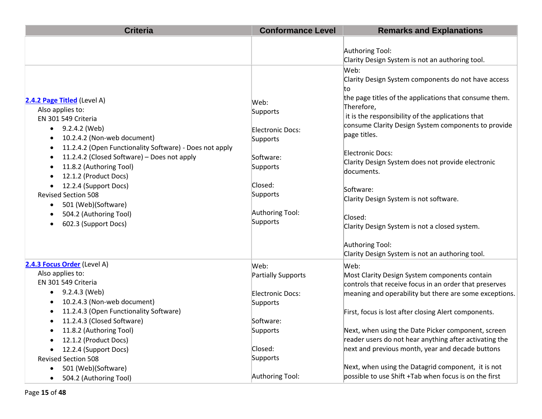| <b>Criteria</b>                                                                                                           | <b>Conformance Level</b>     | <b>Remarks and Explanations</b>                                                                                           |
|---------------------------------------------------------------------------------------------------------------------------|------------------------------|---------------------------------------------------------------------------------------------------------------------------|
|                                                                                                                           |                              | Authoring Tool:<br>Clarity Design System is not an authoring tool.                                                        |
|                                                                                                                           |                              | Web:<br>Clarity Design System components do not have access<br>to                                                         |
| 2.4.2 Page Titled (Level A)<br>Also applies to:<br>EN 301 549 Criteria                                                    | Web:<br>Supports             | the page titles of the applications that consume them.<br>Therefore,<br>it is the responsibility of the applications that |
| 9.2.4.2 (Web)<br>$\bullet$<br>10.2.4.2 (Non-web document)<br>11.2.4.2 (Open Functionality Software) - Does not apply<br>٠ | Electronic Docs:<br>Supports | consume Clarity Design System components to provide<br>page titles.                                                       |
| 11.2.4.2 (Closed Software) - Does not apply<br>$\bullet$<br>11.8.2 (Authoring Tool)<br>12.1.2 (Product Docs)              | Software:<br>Supports        | <b>Electronic Docs:</b><br>Clarity Design System does not provide electronic<br>documents.                                |
| 12.2.4 (Support Docs)<br>$\bullet$<br><b>Revised Section 508</b><br>501 (Web)(Software)<br>٠                              | Closed:<br>Supports          | Software:<br>Clarity Design System is not software.                                                                       |
| 504.2 (Authoring Tool)<br>602.3 (Support Docs)                                                                            | Authoring Tool:<br>Supports  | Closed:<br>Clarity Design System is not a closed system.                                                                  |
|                                                                                                                           |                              | Authoring Tool:<br>Clarity Design System is not an authoring tool.                                                        |
| 2.4.3 Focus Order (Level A)                                                                                               | Web:                         | Web:                                                                                                                      |
| Also applies to:<br>EN 301 549 Criteria                                                                                   | Partially Supports           | Most Clarity Design System components contain<br>controls that receive focus in an order that preserves                   |
| 9.2.4.3 (Web)<br>$\bullet$<br>10.2.4.3 (Non-web document)                                                                 | Electronic Docs:<br>Supports | meaning and operability but there are some exceptions.                                                                    |
| 11.2.4.3 (Open Functionality Software)<br>11.2.4.3 (Closed Software)                                                      | Software:                    | First, focus is lost after closing Alert components.                                                                      |
| 11.8.2 (Authoring Tool)                                                                                                   | Supports                     | Next, when using the Date Picker component, screen                                                                        |
| 12.1.2 (Product Docs)<br>٠                                                                                                |                              | reader users do not hear anything after activating the                                                                    |
| 12.2.4 (Support Docs)<br>$\bullet$                                                                                        | Closed:                      | next and previous month, year and decade buttons                                                                          |
| <b>Revised Section 508</b>                                                                                                | Supports                     |                                                                                                                           |
| 501 (Web)(Software)<br>504.2 (Authoring Tool)<br>$\bullet$                                                                | Authoring Tool:              | Next, when using the Datagrid component, it is not<br>possible to use Shift +Tab when focus is on the first               |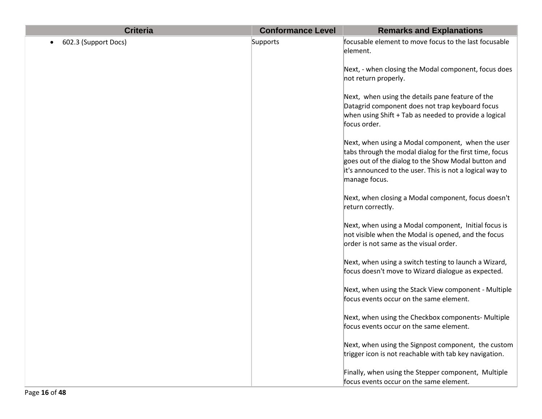| <b>Criteria</b>      | <b>Conformance Level</b> | <b>Remarks and Explanations</b>                                                                                                                                                                                                                  |
|----------------------|--------------------------|--------------------------------------------------------------------------------------------------------------------------------------------------------------------------------------------------------------------------------------------------|
| 602.3 (Support Docs) | Supports                 | focusable element to move focus to the last focusable<br>element.                                                                                                                                                                                |
|                      |                          | Next, - when closing the Modal component, focus does<br>not return properly.                                                                                                                                                                     |
|                      |                          | Next, when using the details pane feature of the<br>Datagrid component does not trap keyboard focus<br>when using Shift + Tab as needed to provide a logical<br>focus order.                                                                     |
|                      |                          | Next, when using a Modal component, when the user<br>tabs through the modal dialog for the first time, focus<br>goes out of the dialog to the Show Modal button and<br>it's announced to the user. This is not a logical way to<br>manage focus. |
|                      |                          | Next, when closing a Modal component, focus doesn't<br>return correctly.                                                                                                                                                                         |
|                      |                          | Next, when using a Modal component, Initial focus is<br>not visible when the Modal is opened, and the focus<br>order is not same as the visual order.                                                                                            |
|                      |                          | Next, when using a switch testing to launch a Wizard,<br>focus doesn't move to Wizard dialogue as expected.                                                                                                                                      |
|                      |                          | Next, when using the Stack View component - Multiple<br>focus events occur on the same element.                                                                                                                                                  |
|                      |                          | Next, when using the Checkbox components- Multiple<br>focus events occur on the same element.                                                                                                                                                    |
|                      |                          | Next, when using the Signpost component, the custom<br>trigger icon is not reachable with tab key navigation.                                                                                                                                    |
|                      |                          | Finally, when using the Stepper component, Multiple<br>focus events occur on the same element.                                                                                                                                                   |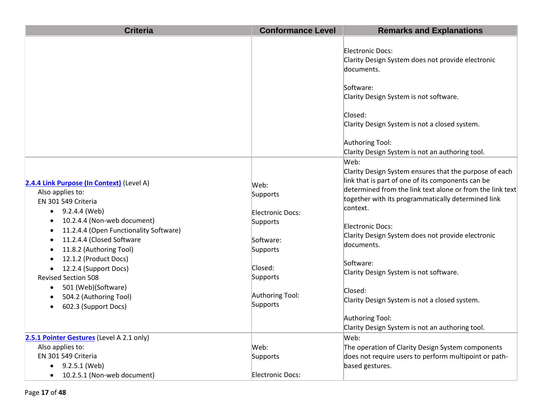| <b>Criteria</b>                                                                                                                                                                                                                                                                            | <b>Conformance Level</b>                                                  | <b>Remarks and Explanations</b>                                                                                                                                                                                                                                                                                                                                                              |
|--------------------------------------------------------------------------------------------------------------------------------------------------------------------------------------------------------------------------------------------------------------------------------------------|---------------------------------------------------------------------------|----------------------------------------------------------------------------------------------------------------------------------------------------------------------------------------------------------------------------------------------------------------------------------------------------------------------------------------------------------------------------------------------|
|                                                                                                                                                                                                                                                                                            |                                                                           | Electronic Docs:<br>Clarity Design System does not provide electronic<br>documents.<br>Software:<br>Clarity Design System is not software.<br>Closed:<br>Clarity Design System is not a closed system.<br>Authoring Tool:                                                                                                                                                                    |
| 2.4.4 Link Purpose (In Context) (Level A)<br>Also applies to:<br>EN 301 549 Criteria<br>9.2.4.4 (Web)<br>$\bullet$<br>10.2.4.4 (Non-web document)<br>$\bullet$<br>11.2.4.4 (Open Functionality Software)<br>$\bullet$<br>11.2.4.4 (Closed Software<br>$\bullet$<br>11.8.2 (Authoring Tool) | Web:<br>Supports<br>Electronic Docs:<br>Supports<br>Software:<br>Supports | Clarity Design System is not an authoring tool.<br>Web:<br>Clarity Design System ensures that the purpose of each<br>link that is part of one of its components can be<br>determined from the link text alone or from the link text<br>together with its programmatically determined link<br>context.<br>Electronic Docs:<br>Clarity Design System does not provide electronic<br>documents. |
| 12.1.2 (Product Docs)<br>12.2.4 (Support Docs)<br><b>Revised Section 508</b><br>501 (Web)(Software)<br>$\bullet$<br>504.2 (Authoring Tool)<br>602.3 (Support Docs)<br>$\bullet$                                                                                                            | Closed:<br>Supports<br>Authoring Tool:<br>Supports                        | Software:<br>Clarity Design System is not software.<br>Closed:<br>Clarity Design System is not a closed system.<br>Authoring Tool:<br>Clarity Design System is not an authoring tool.                                                                                                                                                                                                        |
| 2.5.1 Pointer Gestures (Level A 2.1 only)<br>Also applies to:<br>EN 301 549 Criteria<br>9.2.5.1 (Web)<br>10.2.5.1 (Non-web document)<br>$\bullet$                                                                                                                                          | Web:<br>Supports<br>Electronic Docs:                                      | Web:<br>The operation of Clarity Design System components<br>does not require users to perform multipoint or path-<br>based gestures.                                                                                                                                                                                                                                                        |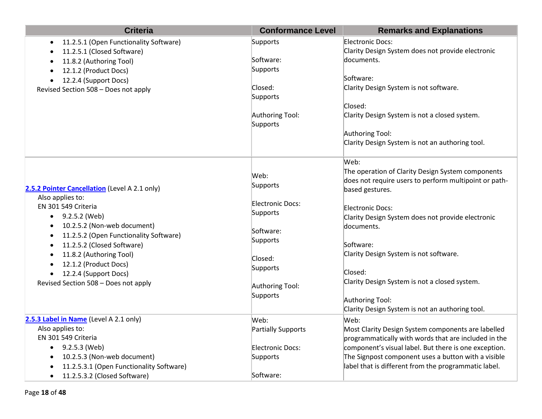| <b>Criteria</b>                                                                                                                                                                                                                                                                                                                          | <b>Conformance Level</b>                                                                                                        | <b>Remarks and Explanations</b>                                                                                                                                                                                                                                                                                                                                                                                       |
|------------------------------------------------------------------------------------------------------------------------------------------------------------------------------------------------------------------------------------------------------------------------------------------------------------------------------------------|---------------------------------------------------------------------------------------------------------------------------------|-----------------------------------------------------------------------------------------------------------------------------------------------------------------------------------------------------------------------------------------------------------------------------------------------------------------------------------------------------------------------------------------------------------------------|
| 11.2.5.1 (Open Functionality Software)<br>$\bullet$<br>11.2.5.1 (Closed Software)<br>11.8.2 (Authoring Tool)<br>12.1.2 (Product Docs)<br>12.2.4 (Support Docs)<br>Revised Section 508 - Does not apply                                                                                                                                   | Supports<br>Software:<br>Supports<br>Closed:<br>Supports<br>Authoring Tool:<br>Supports                                         | Electronic Docs:<br>Clarity Design System does not provide electronic<br>documents.<br>Software:<br>Clarity Design System is not software.<br>Closed:<br>Clarity Design System is not a closed system.<br>Authoring Tool:<br>Clarity Design System is not an authoring tool.                                                                                                                                          |
| 2.5.2 Pointer Cancellation (Level A 2.1 only)<br>Also applies to:<br>EN 301 549 Criteria<br>$-9.2.5.2$ (Web)<br>10.2.5.2 (Non-web document)<br>11.2.5.2 (Open Functionality Software)<br>11.2.5.2 (Closed Software)<br>11.8.2 (Authoring Tool)<br>12.1.2 (Product Docs)<br>12.2.4 (Support Docs)<br>Revised Section 508 - Does not apply | Web:<br>Supports<br>Electronic Docs:<br>Supports<br>Software:<br>Supports<br>Closed:<br>Supports<br>Authoring Tool:<br>Supports | Web:<br>The operation of Clarity Design System components<br>does not require users to perform multipoint or path-<br>based gestures.<br>Electronic Docs:<br>Clarity Design System does not provide electronic<br>documents.<br>Software:<br>Clarity Design System is not software.<br>Closed:<br>Clarity Design System is not a closed system.<br>Authoring Tool:<br>Clarity Design System is not an authoring tool. |
| 2.5.3 Label in Name (Level A 2.1 only)<br>Also applies to:<br>EN 301 549 Criteria<br>$\bullet$ 9.2.5.3 (Web)<br>10.2.5.3 (Non-web document)<br>11.2.5.3.1 (Open Functionality Software)<br>11.2.5.3.2 (Closed Software)<br>$\bullet$                                                                                                     | Web:<br><b>Partially Supports</b><br>Electronic Docs:<br>Supports<br>Software:                                                  | Web:<br>Most Clarity Design System components are labelled<br>programmatically with words that are included in the<br>component's visual label. But there is one exception.<br>The Signpost component uses a button with a visible<br>label that is different from the programmatic label.                                                                                                                            |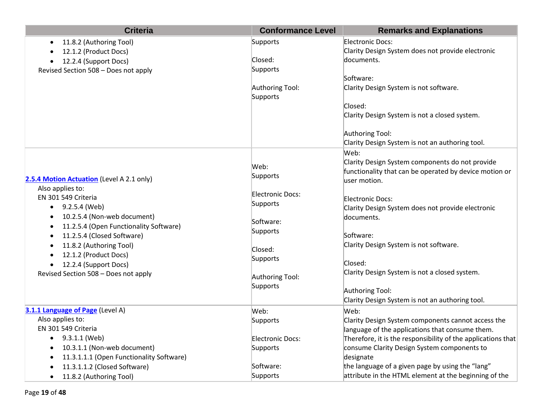| <b>Criteria</b>                                                                                                                                                                                                                                           | <b>Conformance Level</b>                                                     | <b>Remarks and Explanations</b>                                                                                                                                                                         |
|-----------------------------------------------------------------------------------------------------------------------------------------------------------------------------------------------------------------------------------------------------------|------------------------------------------------------------------------------|---------------------------------------------------------------------------------------------------------------------------------------------------------------------------------------------------------|
| 11.8.2 (Authoring Tool)<br>$\bullet$<br>12.1.2 (Product Docs)<br>12.2.4 (Support Docs)<br>$\bullet$<br>Revised Section 508 - Does not apply                                                                                                               | Supports<br>Closed:<br>Supports<br>Authoring Tool:<br>Supports               | Electronic Docs:<br>Clarity Design System does not provide electronic<br>documents.<br>Software:<br>Clarity Design System is not software.<br>Closed:<br>Clarity Design System is not a closed system.  |
| 2.5.4 Motion Actuation (Level A 2.1 only)                                                                                                                                                                                                                 | Web:<br>Supports                                                             | Authoring Tool:<br>Clarity Design System is not an authoring tool.<br>Web:<br>Clarity Design System components do not provide<br>functionality that can be operated by device motion or<br>user motion. |
| Also applies to:<br>EN 301 549 Criteria<br>9.2.5.4 (Web)<br>$\bullet$<br>10.2.5.4 (Non-web document)<br>11.2.5.4 (Open Functionality Software)<br>11.2.5.4 (Closed Software)<br>11.8.2 (Authoring Tool)<br>12.1.2 (Product Docs)<br>12.2.4 (Support Docs) | Electronic Docs:<br>Supports<br>Software:<br>Supports<br>Closed:<br>Supports | Electronic Docs:<br>Clarity Design System does not provide electronic<br>documents.<br>Software:<br>Clarity Design System is not software.<br>Closed:                                                   |
| Revised Section 508 - Does not apply                                                                                                                                                                                                                      | Authoring Tool:<br>Supports                                                  | Clarity Design System is not a closed system.<br>Authoring Tool:<br>Clarity Design System is not an authoring tool.                                                                                     |
| 3.1.1 Language of Page (Level A)<br>Also applies to:<br>EN 301 549 Criteria                                                                                                                                                                               | Web:<br>Supports                                                             | Web:<br>Clarity Design System components cannot access the<br>language of the applications that consume them.                                                                                           |
| 9.3.1.1 (Web)<br>$\bullet$<br>10.3.1.1 (Non-web document)<br>11.3.1.1.1 (Open Functionality Software)                                                                                                                                                     | Electronic Docs:<br>Supports                                                 | Therefore, it is the responsibility of the applications that<br>consume Clarity Design System components to<br>designate                                                                                |
| 11.3.1.1.2 (Closed Software)<br>11.8.2 (Authoring Tool)<br>$\bullet$                                                                                                                                                                                      | Software:<br>Supports                                                        | the language of a given page by using the "lang"<br>attribute in the HTML element at the beginning of the                                                                                               |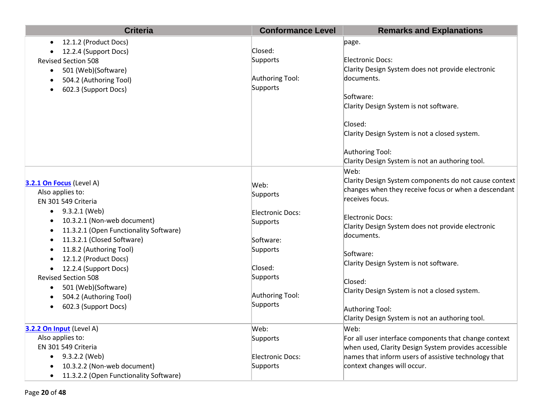| <b>Criteria</b>                                     | <b>Conformance Level</b> | <b>Remarks and Explanations</b>                       |
|-----------------------------------------------------|--------------------------|-------------------------------------------------------|
| 12.1.2 (Product Docs)<br>$\bullet$                  |                          | page.                                                 |
| 12.2.4 (Support Docs)<br>$\bullet$                  | Closed:                  |                                                       |
| <b>Revised Section 508</b>                          | Supports                 | Electronic Docs:                                      |
| 501 (Web)(Software)<br>$\bullet$                    |                          | Clarity Design System does not provide electronic     |
| 504.2 (Authoring Tool)<br>$\bullet$                 | Authoring Tool:          | documents.                                            |
| 602.3 (Support Docs)                                | Supports                 |                                                       |
|                                                     |                          | Software:                                             |
|                                                     |                          | Clarity Design System is not software.                |
|                                                     |                          | Closed:                                               |
|                                                     |                          | Clarity Design System is not a closed system.         |
|                                                     |                          | Authoring Tool:                                       |
|                                                     |                          | Clarity Design System is not an authoring tool.       |
|                                                     |                          | Web:                                                  |
| 3.2.1 On Focus (Level A)                            |                          | Clarity Design System components do not cause context |
| Also applies to:                                    | Web:                     | changes when they receive focus or when a descendant  |
| EN 301 549 Criteria                                 | Supports                 | receives focus.                                       |
| 9.3.2.1 (Web)<br>$\bullet$                          | Electronic Docs:         |                                                       |
| 10.3.2.1 (Non-web document)<br>$\bullet$            | Supports                 | <b>Electronic Docs:</b>                               |
| 11.3.2.1 (Open Functionality Software)<br>$\bullet$ |                          | Clarity Design System does not provide electronic     |
| 11.3.2.1 (Closed Software)<br>$\bullet$             | Software:                | documents.                                            |
| 11.8.2 (Authoring Tool)<br>$\bullet$                | Supports                 |                                                       |
| 12.1.2 (Product Docs)                               |                          | Software:                                             |
| 12.2.4 (Support Docs)<br>$\bullet$                  | Closed:                  | Clarity Design System is not software.                |
| <b>Revised Section 508</b>                          | Supports                 | Closed:                                               |
| 501 (Web)(Software)<br>$\bullet$                    |                          |                                                       |
| 504.2 (Authoring Tool)                              | Authoring Tool:          | Clarity Design System is not a closed system.         |
| 602.3 (Support Docs)<br>$\bullet$                   | Supports                 | Authoring Tool:                                       |
|                                                     |                          | Clarity Design System is not an authoring tool.       |
| 3.2.2 On Input (Level A)                            | Web:                     | Web:                                                  |
| Also applies to:                                    | Supports                 | For all user interface components that change context |
| EN 301 549 Criteria                                 |                          | when used, Clarity Design System provides accessible  |
| 9.3.2.2 (Web)<br>$\bullet$                          | Electronic Docs:         | names that inform users of assistive technology that  |
| 10.3.2.2 (Non-web document)<br>$\bullet$            | Supports                 | context changes will occur.                           |
| 11.3.2.2 (Open Functionality Software)<br>$\bullet$ |                          |                                                       |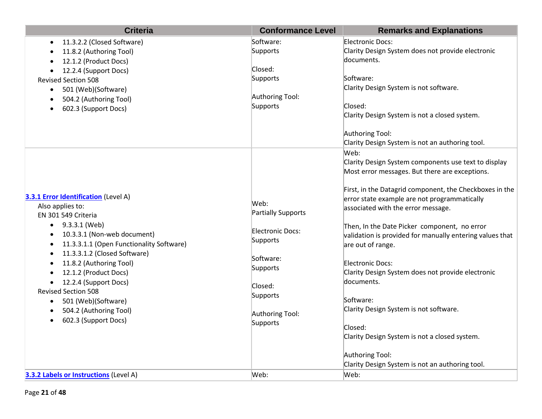| <b>Criteria</b>                                                                                                                                                                                                                                                                                                                                                                                                           | <b>Conformance Level</b>                                                                                                                         | <b>Remarks and Explanations</b>                                                                                                                                                                                                                                                                                                                                                                                                                                                                                                                                                                                                                                                                                                     |
|---------------------------------------------------------------------------------------------------------------------------------------------------------------------------------------------------------------------------------------------------------------------------------------------------------------------------------------------------------------------------------------------------------------------------|--------------------------------------------------------------------------------------------------------------------------------------------------|-------------------------------------------------------------------------------------------------------------------------------------------------------------------------------------------------------------------------------------------------------------------------------------------------------------------------------------------------------------------------------------------------------------------------------------------------------------------------------------------------------------------------------------------------------------------------------------------------------------------------------------------------------------------------------------------------------------------------------------|
| 11.3.2.2 (Closed Software)<br>$\bullet$<br>11.8.2 (Authoring Tool)<br>12.1.2 (Product Docs)<br>12.2.4 (Support Docs)<br>$\bullet$<br><b>Revised Section 508</b><br>501 (Web)(Software)<br>$\bullet$<br>504.2 (Authoring Tool)<br>$\bullet$<br>602.3 (Support Docs)                                                                                                                                                        | Software:<br>Supports<br>Closed:<br>Supports<br>Authoring Tool:<br>Supports                                                                      | Electronic Docs:<br>Clarity Design System does not provide electronic<br>documents.<br>Software:<br>Clarity Design System is not software.<br>Closed:<br>Clarity Design System is not a closed system.<br>Authoring Tool:                                                                                                                                                                                                                                                                                                                                                                                                                                                                                                           |
| 3.3.1 Error Identification (Level A)<br>Also applies to:<br>EN 301 549 Criteria<br>9.3.3.1 (Web)<br>$\bullet$<br>10.3.3.1 (Non-web document)<br>11.3.3.1.1 (Open Functionality Software)<br>11.3.3.1.2 (Closed Software)<br>11.8.2 (Authoring Tool)<br>12.1.2 (Product Docs)<br>12.2.4 (Support Docs)<br><b>Revised Section 508</b><br>501 (Web)(Software)<br>$\bullet$<br>504.2 (Authoring Tool)<br>602.3 (Support Docs) | Web:<br><b>Partially Supports</b><br>Electronic Docs:<br>Supports<br>Software:<br>Supports<br>Closed:<br>Supports<br>Authoring Tool:<br>Supports | Clarity Design System is not an authoring tool.<br>Web:<br>Clarity Design System components use text to display<br>Most error messages. But there are exceptions.<br>First, in the Datagrid component, the Checkboxes in the<br>error state example are not programmatically<br>associated with the error message.<br>Then, In the Date Picker component, no error<br>validation is provided for manually entering values that<br>are out of range.<br>Electronic Docs:<br>Clarity Design System does not provide electronic<br>documents.<br>Software:<br>Clarity Design System is not software.<br>Closed:<br>Clarity Design System is not a closed system.<br>Authoring Tool:<br>Clarity Design System is not an authoring tool. |
| <b>3.3.2 Labels or Instructions (Level A)</b>                                                                                                                                                                                                                                                                                                                                                                             | Web:                                                                                                                                             | Web:                                                                                                                                                                                                                                                                                                                                                                                                                                                                                                                                                                                                                                                                                                                                |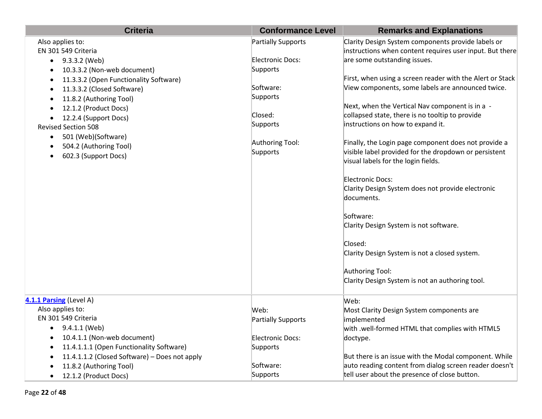| <b>Criteria</b>                                     | <b>Conformance Level</b>  | <b>Remarks and Explanations</b>                           |
|-----------------------------------------------------|---------------------------|-----------------------------------------------------------|
| Also applies to:                                    | <b>Partially Supports</b> | Clarity Design System components provide labels or        |
| EN 301 549 Criteria                                 |                           | instructions when content requires user input. But there  |
| $\bullet$ 9.3.3.2 (Web)                             | Electronic Docs:          | are some outstanding issues.                              |
| 10.3.3.2 (Non-web document)<br>$\bullet$            | Supports                  |                                                           |
| 11.3.3.2 (Open Functionality Software)<br>$\bullet$ |                           | First, when using a screen reader with the Alert or Stack |
| 11.3.3.2 (Closed Software)<br>$\bullet$             | Software:                 | View components, some labels are announced twice.         |
| 11.8.2 (Authoring Tool)<br>$\bullet$                | Supports                  |                                                           |
| 12.1.2 (Product Docs)                               |                           | Next, when the Vertical Nav component is in a -           |
| 12.2.4 (Support Docs)<br>$\bullet$                  | Closed:                   | collapsed state, there is no tooltip to provide           |
| <b>Revised Section 508</b>                          | Supports                  | instructions on how to expand it.                         |
| 501 (Web)(Software)<br>$\bullet$                    |                           |                                                           |
| 504.2 (Authoring Tool)<br>$\bullet$                 | Authoring Tool:           | Finally, the Login page component does not provide a      |
| 602.3 (Support Docs)<br>$\bullet$                   | Supports                  | visible label provided for the dropdown or persistent     |
|                                                     |                           | visual labels for the login fields.                       |
|                                                     |                           | Electronic Docs:                                          |
|                                                     |                           | Clarity Design System does not provide electronic         |
|                                                     |                           | documents.                                                |
|                                                     |                           |                                                           |
|                                                     |                           | Software:                                                 |
|                                                     |                           | Clarity Design System is not software.                    |
|                                                     |                           |                                                           |
|                                                     |                           | Closed:                                                   |
|                                                     |                           | Clarity Design System is not a closed system.             |
|                                                     |                           |                                                           |
|                                                     |                           | Authoring Tool:                                           |
|                                                     |                           | Clarity Design System is not an authoring tool.           |
|                                                     |                           |                                                           |
| 4.1.1 Parsing (Level A)                             |                           | Web:                                                      |
| Also applies to:                                    | Web:                      | Most Clarity Design System components are                 |
| EN 301 549 Criteria                                 | <b>Partially Supports</b> | implemented                                               |
| $\bullet$ 9.4.1.1 (Web)                             |                           | with .well-formed HTML that complies with HTML5           |
| 10.4.1.1 (Non-web document)<br>$\bullet$            | Electronic Docs:          | doctype.                                                  |
| 11.4.1.1.1 (Open Functionality Software)            | Supports                  |                                                           |
| 11.4.1.1.2 (Closed Software) - Does not apply       |                           | But there is an issue with the Modal component. While     |
| 11.8.2 (Authoring Tool)                             | Software:                 | auto reading content from dialog screen reader doesn't    |
| 12.1.2 (Product Docs)                               | Supports                  | tell user about the presence of close button.             |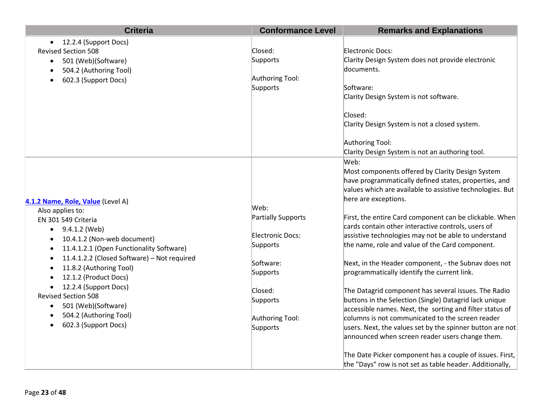| <b>Criteria</b>                             | <b>Conformance Level</b> | <b>Remarks and Explanations</b>                           |
|---------------------------------------------|--------------------------|-----------------------------------------------------------|
| 12.2.4 (Support Docs)<br>$\bullet$          |                          |                                                           |
| <b>Revised Section 508</b>                  | Closed:                  | Electronic Docs:                                          |
| 501 (Web)(Software)<br>$\bullet$            | Supports                 | Clarity Design System does not provide electronic         |
| 504.2 (Authoring Tool)                      |                          | documents.                                                |
| 602.3 (Support Docs)                        | Authoring Tool:          |                                                           |
|                                             | Supports                 | Software:                                                 |
|                                             |                          | Clarity Design System is not software.                    |
|                                             |                          | Closed:                                                   |
|                                             |                          | Clarity Design System is not a closed system.             |
|                                             |                          | Authoring Tool:                                           |
|                                             |                          | Clarity Design System is not an authoring tool.           |
|                                             |                          | Web:                                                      |
|                                             |                          | Most components offered by Clarity Design System          |
|                                             |                          | have programmatically defined states, properties, and     |
|                                             |                          | values which are available to assistive technologies. But |
| 4.1.2 Name, Role, Value (Level A)           |                          | here are exceptions.                                      |
| Also applies to:                            | Web:                     |                                                           |
| EN 301 549 Criteria                         | Partially Supports       | First, the entire Card component can be clickable. When   |
| 9.4.1.2 (Web)<br>٠                          |                          | cards contain other interactive controls, users of        |
| 10.4.1.2 (Non-web document)                 | Electronic Docs:         | assistive technologies may not be able to understand      |
| 11.4.1.2.1 (Open Functionality Software)    | Supports                 | the name, role and value of the Card component.           |
| 11.4.1.2.2 (Closed Software) - Not required | Software:                | Next, in the Header component, - the Subnav does not      |
| 11.8.2 (Authoring Tool)                     | Supports                 | programmatically identify the current link.               |
| 12.1.2 (Product Docs)                       |                          |                                                           |
| 12.2.4 (Support Docs)<br>$\bullet$          | Closed:                  | The Datagrid component has several issues. The Radio      |
| <b>Revised Section 508</b>                  | Supports                 | buttons in the Selection (Single) Datagrid lack unique    |
| 501 (Web)(Software)<br>$\bullet$            |                          | accessible names. Next, the sorting and filter status of  |
| 504.2 (Authoring Tool)                      | Authoring Tool:          | columns is not communicated to the screen reader          |
| 602.3 (Support Docs)                        | Supports                 | users. Next, the values set by the spinner button are not |
|                                             |                          | announced when screen reader users change them.           |
|                                             |                          | The Date Picker component has a couple of issues. First,  |
|                                             |                          | the "Days" row is not set as table header. Additionally,  |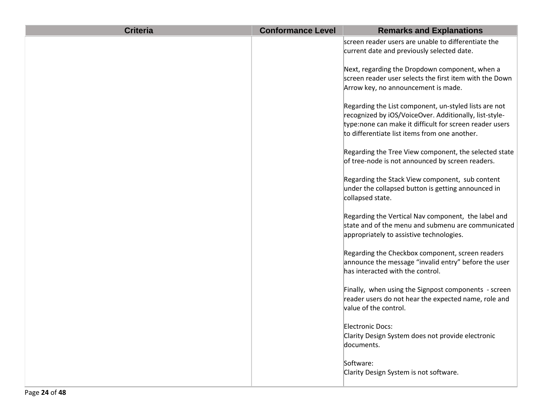| <b>Criteria</b> | <b>Conformance Level</b> | <b>Remarks and Explanations</b>                                                                                                                                                                                             |
|-----------------|--------------------------|-----------------------------------------------------------------------------------------------------------------------------------------------------------------------------------------------------------------------------|
|                 |                          | screen reader users are unable to differentiate the<br>current date and previously selected date.                                                                                                                           |
|                 |                          | Next, regarding the Dropdown component, when a<br>screen reader user selects the first item with the Down<br>Arrow key, no announcement is made.                                                                            |
|                 |                          | Regarding the List component, un-styled lists are not<br>recognized by iOS/VoiceOver. Additionally, list-style-<br>type:none can make it difficult for screen reader users<br>to differentiate list items from one another. |
|                 |                          | Regarding the Tree View component, the selected state<br>of tree-node is not announced by screen readers.                                                                                                                   |
|                 |                          | Regarding the Stack View component, sub content<br>under the collapsed button is getting announced in<br>collapsed state.                                                                                                   |
|                 |                          | Regarding the Vertical Nav component, the label and<br>state and of the menu and submenu are communicated<br>appropriately to assistive technologies.                                                                       |
|                 |                          | Regarding the Checkbox component, screen readers<br>announce the message "invalid entry" before the user<br>has interacted with the control.                                                                                |
|                 |                          | Finally, when using the Signpost components - screen<br>reader users do not hear the expected name, role and<br>value of the control.                                                                                       |
|                 |                          | Electronic Docs:<br>Clarity Design System does not provide electronic<br>documents.                                                                                                                                         |
|                 |                          | Software:<br>Clarity Design System is not software.                                                                                                                                                                         |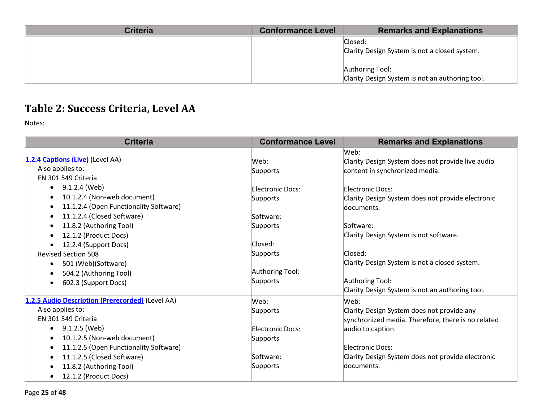| <b>Criteria</b> | <b>Conformance Level</b> | <b>Remarks and Explanations</b>                 |
|-----------------|--------------------------|-------------------------------------------------|
|                 |                          | Closed:                                         |
|                 |                          | Clarity Design System is not a closed system.   |
|                 |                          |                                                 |
|                 |                          | Authoring Tool:                                 |
|                 |                          | Clarity Design System is not an authoring tool. |

## **Table 2: Success Criteria, Level AA**

| <b>Criteria</b>                                     | <b>Conformance Level</b> | <b>Remarks and Explanations</b>                    |
|-----------------------------------------------------|--------------------------|----------------------------------------------------|
|                                                     |                          | Web:                                               |
| 1.2.4 Captions (Live) (Level AA)                    | Web:                     | Clarity Design System does not provide live audio  |
| Also applies to:                                    | Supports                 | content in synchronized media.                     |
| EN 301 549 Criteria                                 |                          |                                                    |
| 9.1.2.4 (Web)<br>$\bullet$                          | <b>Electronic Docs:</b>  | Electronic Docs:                                   |
| 10.1.2.4 (Non-web document)<br>$\bullet$            | Supports                 | Clarity Design System does not provide electronic  |
| 11.1.2.4 (Open Functionality Software)<br>$\bullet$ |                          | documents.                                         |
| 11.1.2.4 (Closed Software)<br>$\bullet$             | Software:                |                                                    |
| 11.8.2 (Authoring Tool)<br>$\bullet$                | Supports                 | Software:                                          |
| 12.1.2 (Product Docs)<br>$\bullet$                  |                          | Clarity Design System is not software.             |
| 12.2.4 (Support Docs)                               | Closed:                  |                                                    |
| <b>Revised Section 508</b>                          | Supports                 | Closed:                                            |
| 501 (Web)(Software)<br>$\bullet$                    |                          | Clarity Design System is not a closed system.      |
| 504.2 (Authoring Tool)<br>$\bullet$                 | Authoring Tool:          |                                                    |
| 602.3 (Support Docs)<br>$\bullet$                   | Supports                 | Authoring Tool:                                    |
|                                                     |                          | Clarity Design System is not an authoring tool.    |
| 1.2.5 Audio Description (Prerecorded) (Level AA)    | Web:                     | Web:                                               |
| Also applies to:                                    | Supports                 | Clarity Design System does not provide any         |
| EN 301 549 Criteria                                 |                          | synchronized media. Therefore, there is no related |
| 9.1.2.5 (Web)<br>$\bullet$                          | <b>Electronic Docs:</b>  | audio to caption.                                  |
| 10.1.2.5 (Non-web document)<br>$\bullet$            | Supports                 |                                                    |
| 11.1.2.5 (Open Functionality Software)<br>$\bullet$ |                          | Electronic Docs:                                   |
| 11.1.2.5 (Closed Software)<br>٠                     | Software:                | Clarity Design System does not provide electronic  |
| 11.8.2 (Authoring Tool)<br>$\bullet$                | Supports                 | documents.                                         |
| 12.1.2 (Product Docs)<br>$\bullet$                  |                          |                                                    |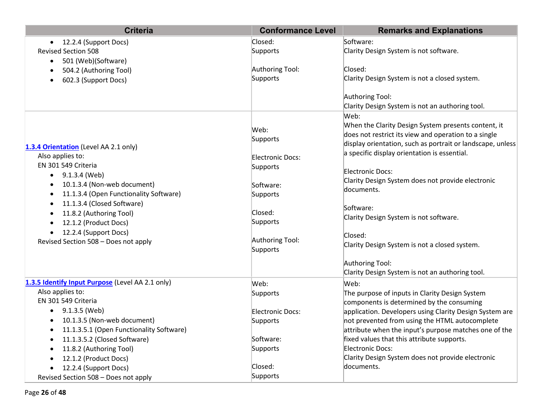| <b>Criteria</b>                                       | <b>Conformance Level</b> | <b>Remarks and Explanations</b>                            |
|-------------------------------------------------------|--------------------------|------------------------------------------------------------|
| 12.2.4 (Support Docs)<br>$\bullet$                    | Closed:                  | Software:                                                  |
| <b>Revised Section 508</b>                            | Supports                 | Clarity Design System is not software.                     |
| 501 (Web)(Software)<br>$\bullet$                      |                          |                                                            |
| 504.2 (Authoring Tool)                                | Authoring Tool:          | Closed:                                                    |
| 602.3 (Support Docs)<br>$\bullet$                     | Supports                 | Clarity Design System is not a closed system.              |
|                                                       |                          |                                                            |
|                                                       |                          | Authoring Tool:                                            |
|                                                       |                          | Clarity Design System is not an authoring tool.            |
|                                                       |                          | Web:                                                       |
|                                                       | Web:                     | When the Clarity Design System presents content, it        |
|                                                       | Supports                 | does not restrict its view and operation to a single       |
| 1.3.4 Orientation (Level AA 2.1 only)                 |                          | display orientation, such as portrait or landscape, unless |
| Also applies to:                                      | Electronic Docs:         | a specific display orientation is essential.               |
| EN 301 549 Criteria                                   | Supports                 |                                                            |
| 9.1.3.4 (Web)<br>$\bullet$                            |                          | Electronic Docs:                                           |
| 10.1.3.4 (Non-web document)                           | Software:                | Clarity Design System does not provide electronic          |
| 11.1.3.4 (Open Functionality Software)<br>$\bullet$   | Supports                 | documents.                                                 |
| 11.1.3.4 (Closed Software)                            |                          | Software:                                                  |
| 11.8.2 (Authoring Tool)                               | Closed:                  | Clarity Design System is not software.                     |
| 12.1.2 (Product Docs)                                 | Supports                 |                                                            |
| 12.2.4 (Support Docs)                                 |                          | Closed:                                                    |
| Revised Section 508 - Does not apply                  | Authoring Tool:          | Clarity Design System is not a closed system.              |
|                                                       | Supports                 |                                                            |
|                                                       |                          | Authoring Tool:                                            |
|                                                       |                          | Clarity Design System is not an authoring tool.            |
| 1.3.5 Identify Input Purpose (Level AA 2.1 only)      | Web:                     | Web:                                                       |
| Also applies to:                                      | Supports                 | The purpose of inputs in Clarity Design System             |
| EN 301 549 Criteria                                   |                          | components is determined by the consuming                  |
| $\bullet$ 9.1.3.5 (Web)                               | Electronic Docs:         | application. Developers using Clarity Design System are    |
| 10.1.3.5 (Non-web document)<br>$\bullet$              | Supports                 | not prevented from using the HTML autocomplete             |
| 11.1.3.5.1 (Open Functionality Software)<br>$\bullet$ |                          | attribute when the input's purpose matches one of the      |
| 11.1.3.5.2 (Closed Software)<br>$\bullet$             | Software:                | fixed values that this attribute supports.                 |
| 11.8.2 (Authoring Tool)<br>$\bullet$                  | Supports                 | <b>Electronic Docs:</b>                                    |
| 12.1.2 (Product Docs)<br>$\bullet$                    |                          | Clarity Design System does not provide electronic          |
| 12.2.4 (Support Docs)                                 | Closed:                  | documents.                                                 |
| Revised Section 508 - Does not apply                  | Supports                 |                                                            |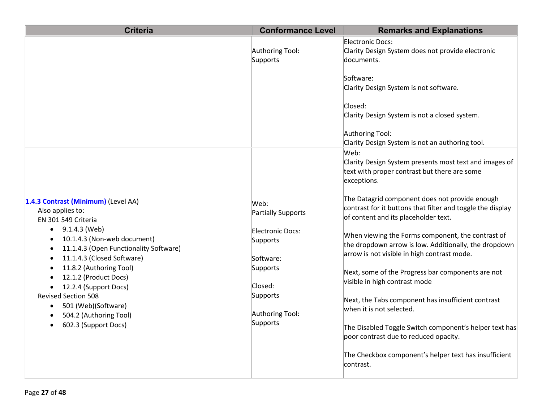| <b>Criteria</b>                                                                                                                                                                                                                                                                                                                                                                                                                                                                                    | <b>Conformance Level</b>                                                                                                                                | <b>Remarks and Explanations</b>                                                                                                                                                                                                                                                                                                                                                                                                                                                                                                                                                                                                                                    |
|----------------------------------------------------------------------------------------------------------------------------------------------------------------------------------------------------------------------------------------------------------------------------------------------------------------------------------------------------------------------------------------------------------------------------------------------------------------------------------------------------|---------------------------------------------------------------------------------------------------------------------------------------------------------|--------------------------------------------------------------------------------------------------------------------------------------------------------------------------------------------------------------------------------------------------------------------------------------------------------------------------------------------------------------------------------------------------------------------------------------------------------------------------------------------------------------------------------------------------------------------------------------------------------------------------------------------------------------------|
|                                                                                                                                                                                                                                                                                                                                                                                                                                                                                                    | Authoring Tool:<br>Supports                                                                                                                             | Electronic Docs:<br>Clarity Design System does not provide electronic<br>documents.<br>Software:<br>Clarity Design System is not software.                                                                                                                                                                                                                                                                                                                                                                                                                                                                                                                         |
|                                                                                                                                                                                                                                                                                                                                                                                                                                                                                                    |                                                                                                                                                         | Closed:<br>Clarity Design System is not a closed system.<br>Authoring Tool:<br>Clarity Design System is not an authoring tool.                                                                                                                                                                                                                                                                                                                                                                                                                                                                                                                                     |
|                                                                                                                                                                                                                                                                                                                                                                                                                                                                                                    |                                                                                                                                                         | Web:<br>Clarity Design System presents most text and images of<br>text with proper contrast but there are some<br>exceptions.                                                                                                                                                                                                                                                                                                                                                                                                                                                                                                                                      |
| 1.4.3 Contrast (Minimum) (Level AA)<br>Also applies to:<br>EN 301 549 Criteria<br>9.1.4.3 (Web)<br>$\bullet$<br>10.1.4.3 (Non-web document)<br>$\bullet$<br>11.1.4.3 (Open Functionality Software)<br>$\bullet$<br>11.1.4.3 (Closed Software)<br>$\bullet$<br>11.8.2 (Authoring Tool)<br>$\bullet$<br>12.1.2 (Product Docs)<br>12.2.4 (Support Docs)<br><b>Revised Section 508</b><br>501 (Web)(Software)<br>$\bullet$<br>504.2 (Authoring Tool)<br>$\bullet$<br>602.3 (Support Docs)<br>$\bullet$ | Web:<br><b>Partially Supports</b><br><b>Electronic Docs:</b><br>Supports<br>Software:<br>Supports<br>Closed:<br>Supports<br>Authoring Tool:<br>Supports | The Datagrid component does not provide enough<br>contrast for it buttons that filter and toggle the display<br>of content and its placeholder text.<br>When viewing the Forms component, the contrast of<br>the dropdown arrow is low. Additionally, the dropdown<br>arrow is not visible in high contrast mode.<br>Next, some of the Progress bar components are not<br>visible in high contrast mode<br>Next, the Tabs component has insufficient contrast<br>when it is not selected.<br>The Disabled Toggle Switch component's helper text has<br>poor contrast due to reduced opacity.<br>The Checkbox component's helper text has insufficient<br>contrast. |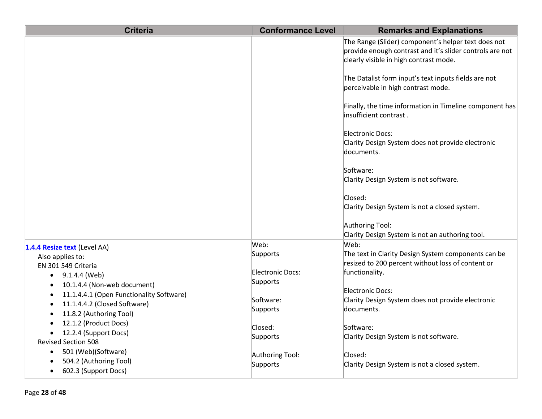| <b>Criteria</b>                                                                                    | <b>Conformance Level</b>     | <b>Remarks and Explanations</b>                                                                                                                           |
|----------------------------------------------------------------------------------------------------|------------------------------|-----------------------------------------------------------------------------------------------------------------------------------------------------------|
|                                                                                                    |                              | The Range (Slider) component's helper text does not<br>provide enough contrast and it's slider controls are not<br>clearly visible in high contrast mode. |
|                                                                                                    |                              | The Datalist form input's text inputs fields are not<br>perceivable in high contrast mode.                                                                |
|                                                                                                    |                              | Finally, the time information in Timeline component has<br>insufficient contrast.                                                                         |
|                                                                                                    |                              | Electronic Docs:<br>Clarity Design System does not provide electronic<br>documents.                                                                       |
|                                                                                                    |                              | Software:<br>Clarity Design System is not software.                                                                                                       |
|                                                                                                    |                              | Closed:<br>Clarity Design System is not a closed system.                                                                                                  |
|                                                                                                    |                              | Authoring Tool:<br>Clarity Design System is not an authoring tool.                                                                                        |
| 1.4.4 Resize text (Level AA)                                                                       | Web:                         | Web:                                                                                                                                                      |
| Also applies to:                                                                                   | Supports                     | The text in Clarity Design System components can be                                                                                                       |
| EN 301 549 Criteria<br>9.1.4.4 (Web)<br>$\bullet$                                                  | Electronic Docs:<br>Supports | resized to 200 percent without loss of content or<br>functionality.                                                                                       |
| 10.1.4.4 (Non-web document)<br>$\bullet$                                                           |                              | Electronic Docs:                                                                                                                                          |
| 11.1.4.4.1 (Open Functionality Software)<br>$\bullet$<br>11.1.4.4.2 (Closed Software)<br>$\bullet$ | Software:                    | Clarity Design System does not provide electronic                                                                                                         |
| 11.8.2 (Authoring Tool)<br>$\bullet$                                                               | Supports                     | documents.                                                                                                                                                |
| 12.1.2 (Product Docs)                                                                              | Closed:                      | Software:                                                                                                                                                 |
| 12.2.4 (Support Docs)<br>$\bullet$                                                                 | Supports                     | Clarity Design System is not software.                                                                                                                    |
| <b>Revised Section 508</b>                                                                         |                              |                                                                                                                                                           |
| 501 (Web)(Software)<br>$\bullet$<br>504.2 (Authoring Tool)                                         | Authoring Tool:              | Closed:                                                                                                                                                   |
| 602.3 (Support Docs)<br>$\bullet$                                                                  | Supports                     | Clarity Design System is not a closed system.                                                                                                             |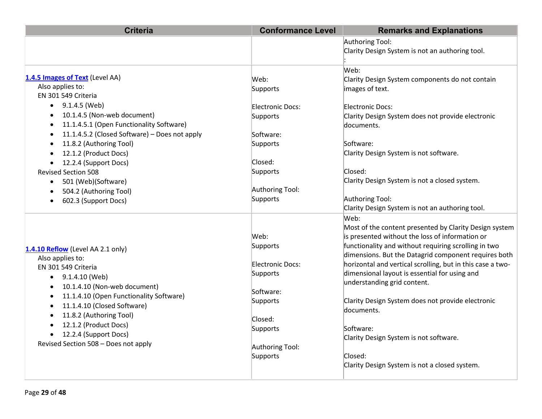| <b>Criteria</b>                                      | <b>Conformance Level</b> | <b>Remarks and Explanations</b>                            |
|------------------------------------------------------|--------------------------|------------------------------------------------------------|
|                                                      |                          | Authoring Tool:                                            |
|                                                      |                          | Clarity Design System is not an authoring tool.            |
|                                                      |                          | Web:                                                       |
| 1.4.5 Images of Text (Level AA)                      | Web:                     | Clarity Design System components do not contain            |
| Also applies to:                                     | Supports                 | images of text.                                            |
| EN 301 549 Criteria                                  |                          |                                                            |
| $\bullet$ 9.1.4.5 (Web)                              | <b>Electronic Docs:</b>  | Electronic Docs:                                           |
| 10.1.4.5 (Non-web document)                          | Supports                 | Clarity Design System does not provide electronic          |
| 11.1.4.5.1 (Open Functionality Software)             |                          | documents.                                                 |
| 11.1.4.5.2 (Closed Software) - Does not apply        | Software:                |                                                            |
| 11.8.2 (Authoring Tool)                              | Supports                 | Software:                                                  |
| 12.1.2 (Product Docs)                                |                          | Clarity Design System is not software.                     |
| 12.2.4 (Support Docs)                                | Closed:                  |                                                            |
| <b>Revised Section 508</b>                           | Supports                 | Closed:                                                    |
| 501 (Web)(Software)<br>$\bullet$                     |                          | Clarity Design System is not a closed system.              |
| 504.2 (Authoring Tool)                               | Authoring Tool:          |                                                            |
| 602.3 (Support Docs)                                 | Supports                 | Authoring Tool:                                            |
|                                                      |                          | Clarity Design System is not an authoring tool.            |
|                                                      |                          | Web:                                                       |
|                                                      |                          | Most of the content presented by Clarity Design system     |
|                                                      | Web:                     | is presented without the loss of information or            |
| 1.4.10 Reflow (Level AA 2.1 only)                    | Supports                 | functionality and without requiring scrolling in two       |
| Also applies to:                                     |                          | dimensions. But the Datagrid component requires both       |
| EN 301 549 Criteria                                  | <b>Electronic Docs:</b>  | horizontal and vertical scrolling, but in this case a two- |
| $\bullet$ 9.1.4.10 (Web)                             | Supports                 | dimensional layout is essential for using and              |
| 10.1.4.10 (Non-web document)<br>$\bullet$            |                          | understanding grid content.                                |
| 11.1.4.10 (Open Functionality Software)<br>$\bullet$ | Software:                |                                                            |
| 11.1.4.10 (Closed Software)<br>$\bullet$             | Supports                 | Clarity Design System does not provide electronic          |
| 11.8.2 (Authoring Tool)                              |                          | documents.                                                 |
| 12.1.2 (Product Docs)                                | Closed:                  |                                                            |
| 12.2.4 (Support Docs)<br>$\bullet$                   | Supports                 | Software:                                                  |
| Revised Section 508 - Does not apply                 |                          | Clarity Design System is not software.                     |
|                                                      | Authoring Tool:          | Closed:                                                    |
|                                                      | Supports                 | Clarity Design System is not a closed system.              |
|                                                      |                          |                                                            |
|                                                      |                          |                                                            |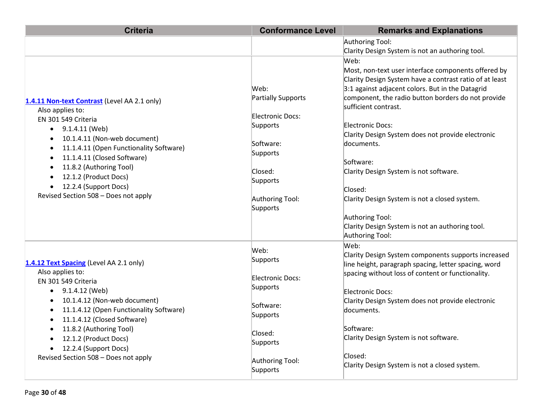| <b>Criteria</b>                                                                                                                                                                                                                                                                                                                                                                                                                     | <b>Conformance Level</b>                                                                                                                  | <b>Remarks and Explanations</b>                                                                                                                                                                                                                                                                                                                                                                                                                                                                                                                                    |
|-------------------------------------------------------------------------------------------------------------------------------------------------------------------------------------------------------------------------------------------------------------------------------------------------------------------------------------------------------------------------------------------------------------------------------------|-------------------------------------------------------------------------------------------------------------------------------------------|--------------------------------------------------------------------------------------------------------------------------------------------------------------------------------------------------------------------------------------------------------------------------------------------------------------------------------------------------------------------------------------------------------------------------------------------------------------------------------------------------------------------------------------------------------------------|
|                                                                                                                                                                                                                                                                                                                                                                                                                                     |                                                                                                                                           | Authoring Tool:                                                                                                                                                                                                                                                                                                                                                                                                                                                                                                                                                    |
|                                                                                                                                                                                                                                                                                                                                                                                                                                     |                                                                                                                                           | Clarity Design System is not an authoring tool.                                                                                                                                                                                                                                                                                                                                                                                                                                                                                                                    |
| 1.4.11 Non-text Contrast (Level AA 2.1 only)<br>Also applies to:<br>EN 301 549 Criteria<br>9.1.4.11 (Web)<br>$\bullet$<br>10.1.4.11 (Non-web document)<br>$\bullet$<br>11.1.4.11 (Open Functionality Software)<br>$\bullet$<br>11.1.4.11 (Closed Software)<br>$\bullet$<br>11.8.2 (Authoring Tool)<br>$\bullet$<br>12.1.2 (Product Docs)<br>$\bullet$<br>12.2.4 (Support Docs)<br>$\bullet$<br>Revised Section 508 - Does not apply | Web:<br>Partially Supports<br>Electronic Docs:<br>Supports<br>Software:<br>Supports<br>Closed:<br>Supports<br>Authoring Tool:<br>Supports | Web:<br>Most, non-text user interface components offered by<br>Clarity Design System have a contrast ratio of at least<br>3:1 against adjacent colors. But in the Datagrid<br>component, the radio button borders do not provide<br>sufficient contrast.<br><b>Electronic Docs:</b><br>Clarity Design System does not provide electronic<br>documents.<br>Software:<br>Clarity Design System is not software.<br>Closed:<br>Clarity Design System is not a closed system.<br>Authoring Tool:<br>Clarity Design System is not an authoring tool.<br>Authoring Tool: |
| 1.4.12 Text Spacing (Level AA 2.1 only)<br>Also applies to:<br>EN 301 549 Criteria<br>9.1.4.12 (Web)<br>$\bullet$<br>10.1.4.12 (Non-web document)<br>$\bullet$<br>11.1.4.12 (Open Functionality Software)<br>$\bullet$<br>11.1.4.12 (Closed Software)<br>$\bullet$<br>11.8.2 (Authoring Tool)<br>$\bullet$<br>12.1.2 (Product Docs)<br>$\bullet$<br>12.2.4 (Support Docs)<br>$\bullet$<br>Revised Section 508 - Does not apply      | Web:<br>Supports<br><b>Electronic Docs:</b><br>Supports<br>Software:<br>Supports<br>Closed:<br>Supports<br>Authoring Tool:<br>Supports    | Web:<br>Clarity Design System components supports increased<br>line height, paragraph spacing, letter spacing, word<br>spacing without loss of content or functionality.<br>Electronic Docs:<br>Clarity Design System does not provide electronic<br>documents.<br>Software:<br>Clarity Design System is not software.<br>Closed:<br>Clarity Design System is not a closed system.                                                                                                                                                                                 |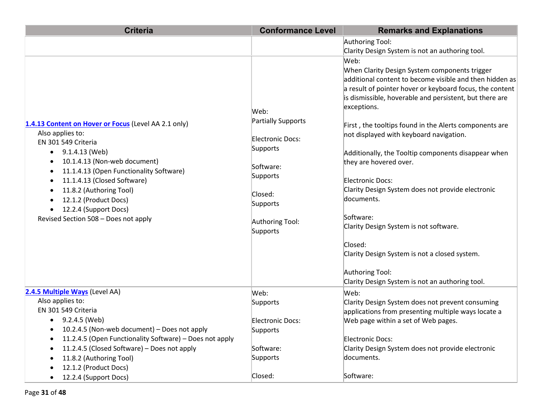| <b>Criteria</b><br><b>Conformance Level</b>                                                                                                                                                                                                                                                                                                                   |                                                                                                                                                  | <b>Remarks and Explanations</b>                                                                                                                                                                                                                                                                                                                                                                                                                                                                                                                                                                                                                                                  |  |
|---------------------------------------------------------------------------------------------------------------------------------------------------------------------------------------------------------------------------------------------------------------------------------------------------------------------------------------------------------------|--------------------------------------------------------------------------------------------------------------------------------------------------|----------------------------------------------------------------------------------------------------------------------------------------------------------------------------------------------------------------------------------------------------------------------------------------------------------------------------------------------------------------------------------------------------------------------------------------------------------------------------------------------------------------------------------------------------------------------------------------------------------------------------------------------------------------------------------|--|
|                                                                                                                                                                                                                                                                                                                                                               |                                                                                                                                                  | Authoring Tool:                                                                                                                                                                                                                                                                                                                                                                                                                                                                                                                                                                                                                                                                  |  |
|                                                                                                                                                                                                                                                                                                                                                               |                                                                                                                                                  | Clarity Design System is not an authoring tool.                                                                                                                                                                                                                                                                                                                                                                                                                                                                                                                                                                                                                                  |  |
| 1.4.13 Content on Hover or Focus (Level AA 2.1 only)<br>Also applies to:<br>EN 301 549 Criteria<br>9.1.4.13 (Web)<br>$\bullet$<br>10.1.4.13 (Non-web document)<br>11.1.4.13 (Open Functionality Software)<br>11.1.4.13 (Closed Software)<br>11.8.2 (Authoring Tool)<br>12.1.2 (Product Docs)<br>12.2.4 (Support Docs)<br>Revised Section 508 - Does not apply | Web:<br><b>Partially Supports</b><br>Electronic Docs:<br>Supports<br>Software:<br>Supports<br>Closed:<br>Supports<br>Authoring Tool:<br>Supports | Web:<br>When Clarity Design System components trigger<br>additional content to become visible and then hidden as<br>a result of pointer hover or keyboard focus, the content<br>is dismissible, hoverable and persistent, but there are<br>exceptions.<br>First, the tooltips found in the Alerts components are<br>not displayed with keyboard navigation.<br>Additionally, the Tooltip components disappear when<br>they are hovered over.<br><b>Electronic Docs:</b><br>Clarity Design System does not provide electronic<br>documents.<br>Software:<br>Clarity Design System is not software.<br>Closed:<br>Clarity Design System is not a closed system.<br>Authoring Tool: |  |
|                                                                                                                                                                                                                                                                                                                                                               |                                                                                                                                                  | Clarity Design System is not an authoring tool.                                                                                                                                                                                                                                                                                                                                                                                                                                                                                                                                                                                                                                  |  |
| 2.4.5 Multiple Ways (Level AA)                                                                                                                                                                                                                                                                                                                                | Web:                                                                                                                                             | Web:                                                                                                                                                                                                                                                                                                                                                                                                                                                                                                                                                                                                                                                                             |  |
| Also applies to:                                                                                                                                                                                                                                                                                                                                              | Supports                                                                                                                                         | Clarity Design System does not prevent consuming                                                                                                                                                                                                                                                                                                                                                                                                                                                                                                                                                                                                                                 |  |
| EN 301 549 Criteria                                                                                                                                                                                                                                                                                                                                           |                                                                                                                                                  | applications from presenting multiple ways locate a                                                                                                                                                                                                                                                                                                                                                                                                                                                                                                                                                                                                                              |  |
| 9.2.4.5 (Web)                                                                                                                                                                                                                                                                                                                                                 | Electronic Docs:                                                                                                                                 | Web page within a set of Web pages.                                                                                                                                                                                                                                                                                                                                                                                                                                                                                                                                                                                                                                              |  |
| 10.2.4.5 (Non-web document) – Does not apply                                                                                                                                                                                                                                                                                                                  | Supports                                                                                                                                         |                                                                                                                                                                                                                                                                                                                                                                                                                                                                                                                                                                                                                                                                                  |  |
| 11.2.4.5 (Open Functionality Software) - Does not apply                                                                                                                                                                                                                                                                                                       |                                                                                                                                                  | <b>Electronic Docs:</b>                                                                                                                                                                                                                                                                                                                                                                                                                                                                                                                                                                                                                                                          |  |
| 11.2.4.5 (Closed Software) – Does not apply                                                                                                                                                                                                                                                                                                                   | Software:                                                                                                                                        | Clarity Design System does not provide electronic                                                                                                                                                                                                                                                                                                                                                                                                                                                                                                                                                                                                                                |  |
| 11.8.2 (Authoring Tool)                                                                                                                                                                                                                                                                                                                                       | Supports                                                                                                                                         | documents.                                                                                                                                                                                                                                                                                                                                                                                                                                                                                                                                                                                                                                                                       |  |
| 12.1.2 (Product Docs)<br>12.2.4 (Support Docs)                                                                                                                                                                                                                                                                                                                | Closed:                                                                                                                                          | Software:                                                                                                                                                                                                                                                                                                                                                                                                                                                                                                                                                                                                                                                                        |  |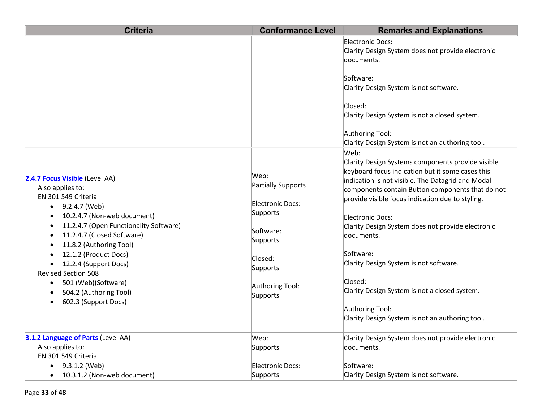| <b>Criteria</b>                                                                                                                                                                                                                                                                                                                                                                                                                           | <b>Conformance Level</b>                                                                                                                  | <b>Remarks and Explanations</b>                                                                                                                                                                                                                                                                                                                                                                                                                                                                                                                            |
|-------------------------------------------------------------------------------------------------------------------------------------------------------------------------------------------------------------------------------------------------------------------------------------------------------------------------------------------------------------------------------------------------------------------------------------------|-------------------------------------------------------------------------------------------------------------------------------------------|------------------------------------------------------------------------------------------------------------------------------------------------------------------------------------------------------------------------------------------------------------------------------------------------------------------------------------------------------------------------------------------------------------------------------------------------------------------------------------------------------------------------------------------------------------|
|                                                                                                                                                                                                                                                                                                                                                                                                                                           |                                                                                                                                           | Electronic Docs:<br>Clarity Design System does not provide electronic<br>documents.                                                                                                                                                                                                                                                                                                                                                                                                                                                                        |
|                                                                                                                                                                                                                                                                                                                                                                                                                                           |                                                                                                                                           | Software:<br>Clarity Design System is not software.                                                                                                                                                                                                                                                                                                                                                                                                                                                                                                        |
|                                                                                                                                                                                                                                                                                                                                                                                                                                           |                                                                                                                                           | Closed:<br>Clarity Design System is not a closed system.                                                                                                                                                                                                                                                                                                                                                                                                                                                                                                   |
|                                                                                                                                                                                                                                                                                                                                                                                                                                           |                                                                                                                                           | Authoring Tool:<br>Clarity Design System is not an authoring tool.                                                                                                                                                                                                                                                                                                                                                                                                                                                                                         |
| 2.4.7 Focus Visible (Level AA)<br>Also applies to:<br>EN 301 549 Criteria<br>9.2.4.7 (Web)<br>$\bullet$<br>10.2.4.7 (Non-web document)<br>11.2.4.7 (Open Functionality Software)<br>11.2.4.7 (Closed Software)<br>11.8.2 (Authoring Tool)<br>12.1.2 (Product Docs)<br>12.2.4 (Support Docs)<br>$\bullet$<br><b>Revised Section 508</b><br>501 (Web)(Software)<br>$\bullet$<br>504.2 (Authoring Tool)<br>602.3 (Support Docs)<br>$\bullet$ | Web:<br>Partially Supports<br>Electronic Docs:<br>Supports<br>Software:<br>Supports<br>Closed:<br>Supports<br>Authoring Tool:<br>Supports | Web:<br>Clarity Design Systems components provide visible<br>keyboard focus indication but it some cases this<br>indication is not visible. The Datagrid and Modal<br>components contain Button components that do not<br>provide visible focus indication due to styling.<br>Electronic Docs:<br>Clarity Design System does not provide electronic<br>documents.<br>Software:<br>Clarity Design System is not software.<br>Closed:<br>Clarity Design System is not a closed system.<br>Authoring Tool:<br>Clarity Design System is not an authoring tool. |
| 3.1.2 Language of Parts (Level AA)                                                                                                                                                                                                                                                                                                                                                                                                        | Web:                                                                                                                                      | Clarity Design System does not provide electronic                                                                                                                                                                                                                                                                                                                                                                                                                                                                                                          |
| Also applies to:<br>EN 301 549 Criteria                                                                                                                                                                                                                                                                                                                                                                                                   | Supports                                                                                                                                  | documents.                                                                                                                                                                                                                                                                                                                                                                                                                                                                                                                                                 |
| 9.3.1.2 (Web)<br>10.3.1.2 (Non-web document)<br>$\bullet$                                                                                                                                                                                                                                                                                                                                                                                 | Electronic Docs:<br>Supports                                                                                                              | Software:<br>Clarity Design System is not software.                                                                                                                                                                                                                                                                                                                                                                                                                                                                                                        |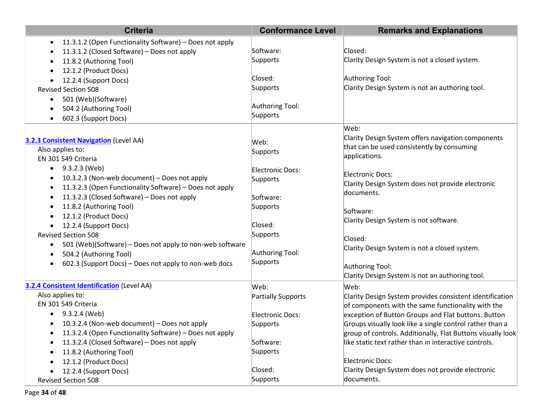| <b>Criteria</b>                                                      | <b>Conformance Level</b> | <b>Remarks and Explanations</b>                             |
|----------------------------------------------------------------------|--------------------------|-------------------------------------------------------------|
| 11.3.1.2 (Open Functionality Software) - Does not apply<br>$\bullet$ |                          |                                                             |
| 11.3.1.2 (Closed Software) - Does not apply                          | Software:                | Closed:                                                     |
| 11.8.2 (Authoring Tool)                                              | Supports                 | Clarity Design System is not a closed system.               |
| 12.1.2 (Product Docs)<br>٠                                           |                          |                                                             |
| 12.2.4 (Support Docs)                                                | Closed:                  | Authoring Tool:                                             |
| <b>Revised Section 508</b>                                           | Supports                 | Clarity Design System is not an authoring tool.             |
| 501 (Web)(Software)<br>٠                                             |                          |                                                             |
| 504.2 (Authoring Tool)                                               | Authoring Tool:          |                                                             |
| 602.3 (Support Docs)<br>٠                                            | Supports                 |                                                             |
|                                                                      |                          | Web:                                                        |
| <b>3.2.3 Consistent Navigation</b> (Level AA)                        | Web:                     | Clarity Design System offers navigation components          |
| Also applies to:                                                     | Supports                 | that can be used consistently by consuming                  |
| EN 301 549 Criteria                                                  |                          | applications.                                               |
| 9.3.2.3 (Web)<br>$\bullet$                                           | Electronic Docs:         |                                                             |
| 10.3.2.3 (Non-web document) - Does not apply<br>٠                    | Supports                 | <b>Electronic Docs:</b>                                     |
| 11.3.2.3 (Open Functionality Software) - Does not apply<br>٠         |                          | Clarity Design System does not provide electronic           |
| 11.3.2.3 (Closed Software) - Does not apply<br>٠                     | Software:                | documents.                                                  |
| 11.8.2 (Authoring Tool)<br>٠                                         | Supports                 | Software:                                                   |
| 12.1.2 (Product Docs)                                                |                          | Clarity Design System is not software.                      |
| 12.2.4 (Support Docs)<br>$\bullet$                                   | Closed:                  |                                                             |
| <b>Revised Section 508</b>                                           | Supports                 | Closed:                                                     |
| 501 (Web)(Software) – Does not apply to non-web software<br>٠        |                          | Clarity Design System is not a closed system.               |
| 504.2 (Authoring Tool)<br>٠                                          | Authoring Tool:          |                                                             |
| 602.3 (Support Docs) - Does not apply to non-web docs<br>$\bullet$   | Supports                 | Authoring Tool:                                             |
|                                                                      |                          | Clarity Design System is not an authoring tool.             |
| <b>3.2.4 Consistent Identification (Level AA)</b>                    | Web:                     | Web:                                                        |
| Also applies to:                                                     | Partially Supports       | Clarity Design System provides consistent identification    |
| EN 301 549 Criteria                                                  |                          | of components with the same functionality with the          |
| 9.3.2.4 (Web)<br>$\bullet$                                           | Electronic Docs:         | exception of Button Groups and Flat buttons. Button         |
| 10.3.2.4 (Non-web document) - Does not apply<br>$\bullet$            | Supports                 | Groups visually look like a single control rather than a    |
| 11.3.2.4 (Open Functionality Software) - Does not apply              |                          | group of controls. Additionally, Flat Buttons visually look |
| 11.3.2.4 (Closed Software) - Does not apply                          | Software:                | like static text rather than in interactive controls.       |
| 11.8.2 (Authoring Tool)                                              | Supports                 |                                                             |
| 12.1.2 (Product Docs)                                                |                          | <b>Electronic Docs:</b>                                     |
| 12.2.4 (Support Docs)<br>٠                                           | Closed:                  | Clarity Design System does not provide electronic           |
| <b>Revised Section 508</b>                                           | Supports                 | documents.                                                  |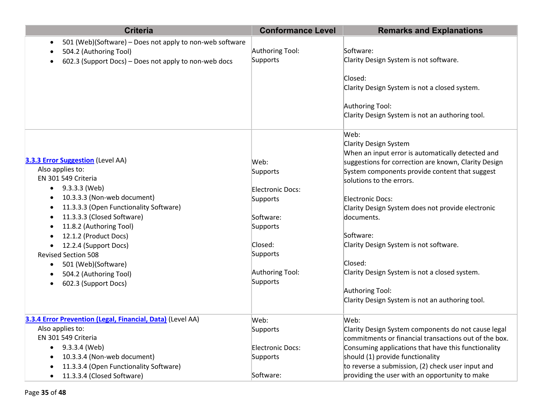| <b>Criteria</b>                                                                                                                             | <b>Conformance Level</b>            | <b>Remarks and Explanations</b>                                                                                                                                                              |
|---------------------------------------------------------------------------------------------------------------------------------------------|-------------------------------------|----------------------------------------------------------------------------------------------------------------------------------------------------------------------------------------------|
| 501 (Web)(Software) - Does not apply to non-web software<br>504.2 (Authoring Tool)<br>602.3 (Support Docs) - Does not apply to non-web docs | Authoring Tool:<br>Supports         | Software:<br>Clarity Design System is not software.                                                                                                                                          |
|                                                                                                                                             |                                     | Closed:<br>Clarity Design System is not a closed system.                                                                                                                                     |
|                                                                                                                                             |                                     | Authoring Tool:<br>Clarity Design System is not an authoring tool.                                                                                                                           |
| 3.3.3 Error Suggestion (Level AA)<br>Also applies to:                                                                                       | Web:<br>Supports                    | Web:<br>Clarity Design System<br>When an input error is automatically detected and<br>suggestions for correction are known, Clarity Design<br>System components provide content that suggest |
| EN 301 549 Criteria<br>$\bullet$ 9.3.3.3 (Web)<br>10.3.3.3 (Non-web document)<br>٠                                                          | Electronic Docs:<br>Supports        | solutions to the errors.<br>Electronic Docs:                                                                                                                                                 |
| 11.3.3.3 (Open Functionality Software)<br>$\bullet$<br>11.3.3.3 (Closed Software)<br>$\bullet$<br>11.8.2 (Authoring Tool)<br>$\bullet$      | Software:<br>Supports               | Clarity Design System does not provide electronic<br>documents.                                                                                                                              |
| 12.1.2 (Product Docs)<br>$\bullet$<br>12.2.4 (Support Docs)<br>$\bullet$<br><b>Revised Section 508</b>                                      | Closed:<br>Supports                 | Software:<br>Clarity Design System is not software.                                                                                                                                          |
| 501 (Web)(Software)<br>$\bullet$<br>504.2 (Authoring Tool)<br>$\bullet$<br>602.3 (Support Docs)<br>$\bullet$                                | Authoring Tool:<br>Supports         | Closed:<br>Clarity Design System is not a closed system.                                                                                                                                     |
|                                                                                                                                             |                                     | Authoring Tool:<br>Clarity Design System is not an authoring tool.                                                                                                                           |
| 3.3.4 Error Prevention (Legal, Financial, Data) (Level AA)                                                                                  | Web:                                | Web:                                                                                                                                                                                         |
| Also applies to:<br>EN 301 549 Criteria                                                                                                     | Supports                            | Clarity Design System components do not cause legal<br>commitments or financial transactions out of the box.                                                                                 |
| 9.3.3.4 (Web)<br>$\bullet$<br>10.3.3.4 (Non-web document)<br>11.3.3.4 (Open Functionality Software)                                         | <b>Electronic Docs:</b><br>Supports | Consuming applications that have this functionality<br>should (1) provide functionality<br>to reverse a submission, (2) check user input and                                                 |
| 11.3.3.4 (Closed Software)<br>$\bullet$                                                                                                     | Software:                           | providing the user with an opportunity to make                                                                                                                                               |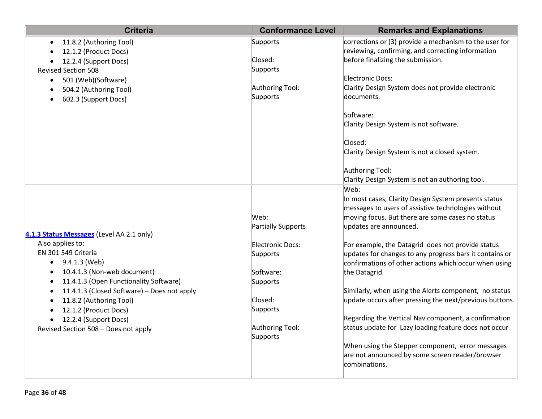| 11.8.2 (Authoring Tool)<br>Supports<br>$\bullet$                | corrections or (3) provide a mechanism to the user for                                                  |
|-----------------------------------------------------------------|---------------------------------------------------------------------------------------------------------|
|                                                                 |                                                                                                         |
| 12.1.2 (Product Docs)                                           | reviewing, confirming, and correcting information                                                       |
| Closed:<br>12.2.4 (Support Docs)                                | before finalizing the submission.                                                                       |
| Supports<br><b>Revised Section 508</b>                          |                                                                                                         |
| 501 (Web)(Software)<br>$\bullet$                                | <b>Electronic Docs:</b>                                                                                 |
| 504.2 (Authoring Tool)<br>$\bullet$<br>Supports                 | Authoring Tool:<br>Clarity Design System does not provide electronic<br>documents.                      |
| 602.3 (Support Docs)<br>$\bullet$                               |                                                                                                         |
|                                                                 | Software:                                                                                               |
|                                                                 | Clarity Design System is not software.                                                                  |
|                                                                 |                                                                                                         |
|                                                                 | Closed:                                                                                                 |
|                                                                 | Clarity Design System is not a closed system.                                                           |
|                                                                 |                                                                                                         |
|                                                                 | Authoring Tool:                                                                                         |
|                                                                 | Clarity Design System is not an authoring tool.                                                         |
|                                                                 | Web:                                                                                                    |
|                                                                 | In most cases, Clarity Design System presents status                                                    |
| Web:                                                            | messages to users of assistive technologies without<br>moving focus. But there are some cases no status |
|                                                                 | Partially Supports<br>updates are announced.                                                            |
| 4.1.3 Status Messages (Level AA 2.1 only)                       |                                                                                                         |
| Also applies to:                                                | Electronic Docs:<br>For example, the Datagrid does not provide status                                   |
| EN 301 549 Criteria<br>Supports                                 | updates for changes to any progress bars it contains or                                                 |
| 9.4.1.3 (Web)<br>$\bullet$                                      | confirmations of other actions which occur when using                                                   |
| 10.4.1.3 (Non-web document)<br>Software:<br>$\bullet$           | the Datagrid.                                                                                           |
| 11.4.1.3 (Open Functionality Software)<br>Supports<br>$\bullet$ |                                                                                                         |
| 11.4.1.3 (Closed Software) - Does not apply<br>$\bullet$        | Similarly, when using the Alerts component, no status                                                   |
| Closed:<br>11.8.2 (Authoring Tool)<br>$\bullet$                 | update occurs after pressing the next/previous buttons.                                                 |
| Supports<br>12.1.2 (Product Docs)<br>$\bullet$                  |                                                                                                         |
| 12.2.4 (Support Docs)<br>$\bullet$                              | Regarding the Vertical Nav component, a confirmation                                                    |
| Revised Section 508 - Does not apply<br>Supports                | status update for Lazy loading feature does not occur<br>Authoring Tool:                                |
|                                                                 | When using the Stepper component, error messages                                                        |
|                                                                 | are not announced by some screen reader/browser                                                         |
|                                                                 | combinations.                                                                                           |
|                                                                 |                                                                                                         |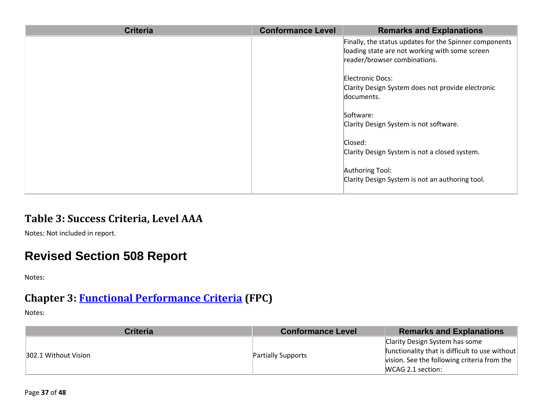| <b>Criteria</b> | <b>Conformance Level</b> | <b>Remarks and Explanations</b>                                                                                                          |
|-----------------|--------------------------|------------------------------------------------------------------------------------------------------------------------------------------|
|                 |                          | Finally, the status updates for the Spinner components<br>loading state are not working with some screen<br>reader/browser combinations. |
|                 |                          | Electronic Docs:<br>Clarity Design System does not provide electronic<br>documents.                                                      |
|                 |                          | Software:<br>Clarity Design System is not software.                                                                                      |
|                 |                          | Closed:<br>Clarity Design System is not a closed system.                                                                                 |
|                 |                          | Authoring Tool:<br>Clarity Design System is not an authoring tool.                                                                       |

#### **Table 3: Success Criteria, Level AAA**

Notes: Not included in report.

# **Revised Section 508 Report**

Notes:

#### **Chapter 3: [Functional Performance Criteria](https://www.access-board.gov/guidelines-and-standards/communications-and-it/about-the-ict-refresh/final-rule/text-of-the-standards-and-guidelines#302-functional-performance-criteria) (FPC)**

| Criteria             | <b>Conformance Level</b>  | <b>Remarks and Explanations</b>                |
|----------------------|---------------------------|------------------------------------------------|
| 302.1 Without Vision |                           | Clarity Design System has some                 |
|                      | <b>Partially Supports</b> | functionality that is difficult to use without |
|                      |                           | vision. See the following criteria from the    |
|                      |                           | MCAG 2.1 section:                              |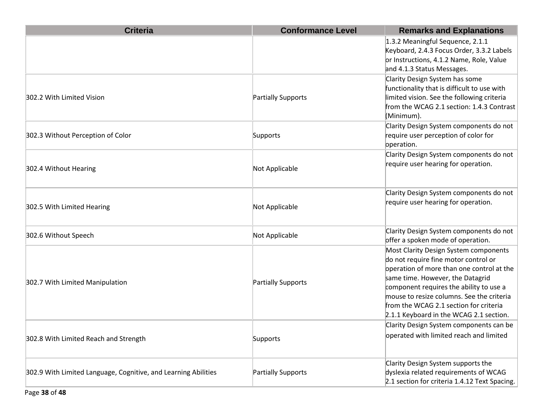| <b>Criteria</b>                                                | <b>Conformance Level</b> | <b>Remarks and Explanations</b>                                                                                                                                                                                                                                                                                                             |
|----------------------------------------------------------------|--------------------------|---------------------------------------------------------------------------------------------------------------------------------------------------------------------------------------------------------------------------------------------------------------------------------------------------------------------------------------------|
|                                                                |                          | 1.3.2 Meaningful Sequence, 2.1.1<br>Keyboard, 2.4.3 Focus Order, 3.3.2 Labels<br>or Instructions, 4.1.2 Name, Role, Value<br>and 4.1.3 Status Messages.                                                                                                                                                                                     |
| 302.2 With Limited Vision                                      | Partially Supports       | Clarity Design System has some<br>functionality that is difficult to use with<br>limited vision. See the following criteria<br>from the WCAG 2.1 section: 1.4.3 Contrast<br>(Minimum).                                                                                                                                                      |
| 302.3 Without Perception of Color                              | Supports                 | Clarity Design System components do not<br>require user perception of color for<br>operation.                                                                                                                                                                                                                                               |
| 302.4 Without Hearing                                          | Not Applicable           | Clarity Design System components do not<br>require user hearing for operation.                                                                                                                                                                                                                                                              |
| 302.5 With Limited Hearing                                     | Not Applicable           | Clarity Design System components do not<br>require user hearing for operation.                                                                                                                                                                                                                                                              |
| 302.6 Without Speech                                           | Not Applicable           | Clarity Design System components do not<br>offer a spoken mode of operation.                                                                                                                                                                                                                                                                |
| 302.7 With Limited Manipulation                                | Partially Supports       | Most Clarity Design System components<br>do not require fine motor control or<br>operation of more than one control at the<br>same time. However, the Datagrid<br>component requires the ability to use a<br>mouse to resize columns. See the criteria<br>from the WCAG 2.1 section for criteria<br>2.1.1 Keyboard in the WCAG 2.1 section. |
| 302.8 With Limited Reach and Strength                          | Supports                 | Clarity Design System components can be<br>operated with limited reach and limited                                                                                                                                                                                                                                                          |
| 302.9 With Limited Language, Cognitive, and Learning Abilities | Partially Supports       | Clarity Design System supports the<br>dyslexia related requirements of WCAG<br>2.1 section for criteria 1.4.12 Text Spacing.                                                                                                                                                                                                                |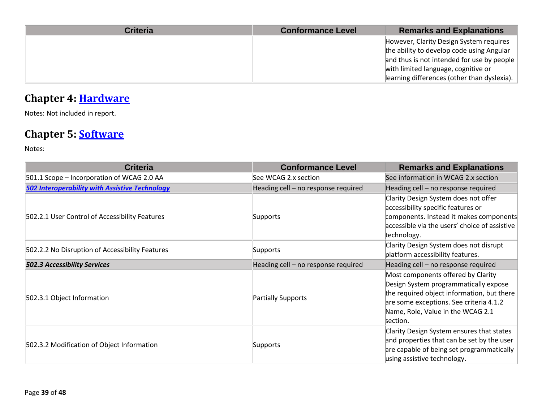| <b>Criteria</b> | <b>Conformance Level</b> | <b>Remarks and Explanations</b>             |
|-----------------|--------------------------|---------------------------------------------|
|                 |                          | However, Clarity Design System requires     |
|                 |                          | the ability to develop code using Angular   |
|                 |                          | and thus is not intended for use by people  |
|                 |                          | with limited language, cognitive or         |
|                 |                          | learning differences (other than dyslexia). |

## **Chapter 4: [Hardware](https://www.access-board.gov/guidelines-and-standards/communications-and-it/about-the-ict-refresh/final-rule/text-of-the-standards-and-guidelines#401-general)**

Notes: Not included in report.

### **Chapter 5: [Software](https://www.access-board.gov/guidelines-and-standards/communications-and-it/about-the-ict-refresh/final-rule/text-of-the-standards-and-guidelines#501-general)**

| <b>Criteria</b>                                       | <b>Conformance Level</b>            | <b>Remarks and Explanations</b>                                                                                                                                                                                       |
|-------------------------------------------------------|-------------------------------------|-----------------------------------------------------------------------------------------------------------------------------------------------------------------------------------------------------------------------|
| 501.1 Scope - Incorporation of WCAG 2.0 AA            | See WCAG 2.x section                | See information in WCAG 2.x section                                                                                                                                                                                   |
| <b>502 Interoperability with Assistive Technology</b> | Heading cell - no response required | Heading cell - no response required                                                                                                                                                                                   |
| 502.2.1 User Control of Accessibility Features        | Supports                            | Clarity Design System does not offer<br>accessibility specific features or<br>components. Instead it makes components<br>accessible via the users' choice of assistive<br>technology.                                 |
| 502.2.2 No Disruption of Accessibility Features       | Supports                            | Clarity Design System does not disrupt<br>platform accessibility features.                                                                                                                                            |
| <b>502.3 Accessibility Services</b>                   | Heading cell - no response required | Heading cell - no response required                                                                                                                                                                                   |
| 502.3.1 Object Information                            | <b>Partially Supports</b>           | Most components offered by Clarity<br>Design System programmatically expose<br>the required object information, but there<br>are some exceptions. See criteria 4.1.2<br>Name, Role, Value in the WCAG 2.1<br>section. |
| 502.3.2 Modification of Object Information            | Supports                            | Clarity Design System ensures that states<br>and properties that can be set by the user<br>are capable of being set programmatically<br>using assistive technology.                                                   |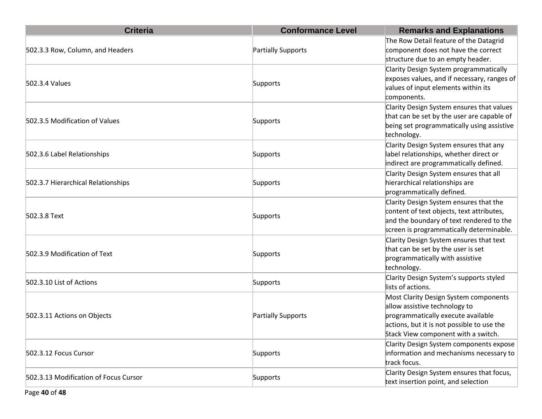| <b>Criteria</b>                       | <b>Conformance Level</b> | <b>Remarks and Explanations</b>                                                                                                                                                                   |
|---------------------------------------|--------------------------|---------------------------------------------------------------------------------------------------------------------------------------------------------------------------------------------------|
| 502.3.3 Row, Column, and Headers      | Partially Supports       | The Row Detail feature of the Datagrid<br>component does not have the correct<br>structure due to an empty header.                                                                                |
| 502.3.4 Values                        | Supports                 | Clarity Design System programmatically<br>exposes values, and if necessary, ranges of<br>values of input elements within its<br>components.                                                       |
| 502.3.5 Modification of Values        | Supports                 | Clarity Design System ensures that values<br>that can be set by the user are capable of<br>being set programmatically using assistive<br>technology.                                              |
| 502.3.6 Label Relationships           | Supports                 | Clarity Design System ensures that any<br>label relationships, whether direct or<br>indirect are programmatically defined.                                                                        |
| 502.3.7 Hierarchical Relationships    | Supports                 | Clarity Design System ensures that all<br>hierarchical relationships are<br>programmatically defined.                                                                                             |
| 502.3.8 Text                          | Supports                 | Clarity Design System ensures that the<br>content of text objects, text attributes,<br>and the boundary of text rendered to the<br>screen is programmatically determinable.                       |
| 502.3.9 Modification of Text          | Supports                 | Clarity Design System ensures that text<br>that can be set by the user is set<br>programmatically with assistive<br>technology.                                                                   |
| 502.3.10 List of Actions              | Supports                 | Clarity Design System's supports styled<br>lists of actions.                                                                                                                                      |
| 502.3.11 Actions on Objects           | Partially Supports       | Most Clarity Design System components<br>allow assistive technology to<br>programmatically execute available<br>actions, but it is not possible to use the<br>Stack View component with a switch. |
| 502.3.12 Focus Cursor                 | Supports                 | Clarity Design System components expose<br>information and mechanisms necessary to<br>track focus.                                                                                                |
| 502.3.13 Modification of Focus Cursor | Supports                 | Clarity Design System ensures that focus,<br>text insertion point, and selection                                                                                                                  |

Page **40** of **48**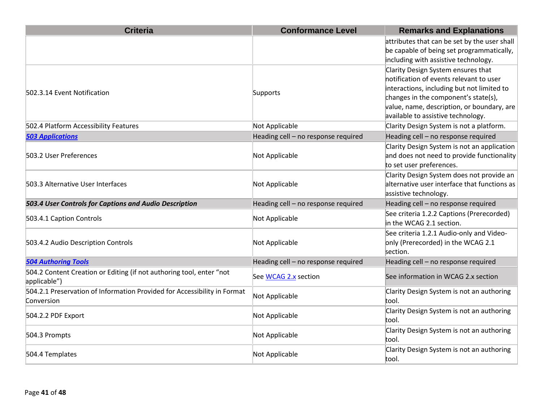| <b>Criteria</b>                                                                        | <b>Conformance Level</b>            | <b>Remarks and Explanations</b>                                                                                                                                                                                                                         |
|----------------------------------------------------------------------------------------|-------------------------------------|---------------------------------------------------------------------------------------------------------------------------------------------------------------------------------------------------------------------------------------------------------|
|                                                                                        |                                     | attributes that can be set by the user shall<br>be capable of being set programmatically,<br>including with assistive technology.                                                                                                                       |
| 502.3.14 Event Notification                                                            | Supports                            | Clarity Design System ensures that<br>notification of events relevant to user<br>interactions, including but not limited to<br>changes in the component's state(s),<br>value, name, description, or boundary, are<br>available to assistive technology. |
| 502.4 Platform Accessibility Features                                                  | Not Applicable                      | Clarity Design System is not a platform.                                                                                                                                                                                                                |
| <b>503 Applications</b>                                                                | Heading cell - no response required | Heading cell - no response required                                                                                                                                                                                                                     |
| 503.2 User Preferences                                                                 | Not Applicable                      | Clarity Design System is not an application<br>and does not need to provide functionality<br>to set user preferences.                                                                                                                                   |
| 503.3 Alternative User Interfaces                                                      | Not Applicable                      | Clarity Design System does not provide an<br>alternative user interface that functions as<br>assistive technology.                                                                                                                                      |
| 503.4 User Controls for Captions and Audio Description                                 | Heading cell - no response required | Heading cell - no response required                                                                                                                                                                                                                     |
| 503.4.1 Caption Controls                                                               | Not Applicable                      | See criteria 1.2.2 Captions (Prerecorded)<br>in the WCAG 2.1 section.                                                                                                                                                                                   |
| 503.4.2 Audio Description Controls                                                     | Not Applicable                      | See criteria 1.2.1 Audio-only and Video-<br>only (Prerecorded) in the WCAG 2.1<br>section.                                                                                                                                                              |
| <b>504 Authoring Tools</b>                                                             | Heading cell - no response required | Heading cell - no response required                                                                                                                                                                                                                     |
| 504.2 Content Creation or Editing (if not authoring tool, enter "not<br>applicable")   | See WCAG 2.x section                | See information in WCAG 2.x section                                                                                                                                                                                                                     |
| 504.2.1 Preservation of Information Provided for Accessibility in Format<br>Conversion | Not Applicable                      | Clarity Design System is not an authoring<br>tool.                                                                                                                                                                                                      |
| 504.2.2 PDF Export                                                                     | Not Applicable                      | Clarity Design System is not an authoring<br>tool.                                                                                                                                                                                                      |
| 504.3 Prompts                                                                          | Not Applicable                      | Clarity Design System is not an authoring<br>tool.                                                                                                                                                                                                      |
| 504.4 Templates                                                                        | Not Applicable                      | Clarity Design System is not an authoring<br>tool.                                                                                                                                                                                                      |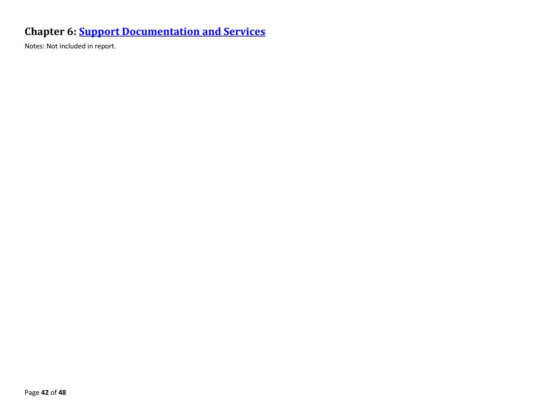### **Chapter 6: [Support Documentation and Services](https://www.access-board.gov/guidelines-and-standards/communications-and-it/about-the-ict-refresh/final-rule/text-of-the-standards-and-guidelines#601-general)**

Notes: Not included in report.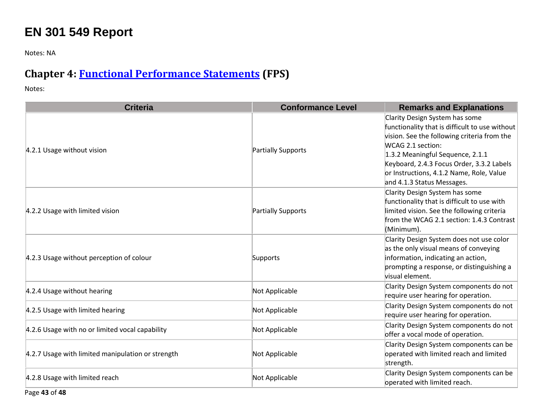# **EN 301 549 Report**

Notes: NA

### **Chapter 4: [Functional Performance Statements](https://www.etsi.org/deliver/etsi_en/301500_301599/301549/03.01.01_60/en_301549v030101p.pdf#%5B%7B%22num%22%3A38%2C%22gen%22%3A0%7D%2C%7B%22name%22%3A%22XYZ%22%7D%2C54%2C747%2C0%5D) (FPS)**

| <b>Criteria</b>                                   | <b>Conformance Level</b> | <b>Remarks and Explanations</b>                                                                                                                                                                                                                                                                                 |
|---------------------------------------------------|--------------------------|-----------------------------------------------------------------------------------------------------------------------------------------------------------------------------------------------------------------------------------------------------------------------------------------------------------------|
| 4.2.1 Usage without vision                        | Partially Supports       | Clarity Design System has some<br>functionality that is difficult to use without<br>vision. See the following criteria from the<br>WCAG 2.1 section:<br>1.3.2 Meaningful Sequence, 2.1.1<br>Keyboard, 2.4.3 Focus Order, 3.3.2 Labels<br>or Instructions, 4.1.2 Name, Role, Value<br>and 4.1.3 Status Messages. |
| 4.2.2 Usage with limited vision                   | Partially Supports       | Clarity Design System has some<br>functionality that is difficult to use with<br>limited vision. See the following criteria<br>from the WCAG 2.1 section: 1.4.3 Contrast<br>(Minimum).                                                                                                                          |
| 4.2.3 Usage without perception of colour          | Supports                 | Clarity Design System does not use color<br>as the only visual means of conveying<br>information, indicating an action,<br>prompting a response, or distinguishing a<br>visual element.                                                                                                                         |
| 4.2.4 Usage without hearing                       | Not Applicable           | Clarity Design System components do not<br>require user hearing for operation.                                                                                                                                                                                                                                  |
| 4.2.5 Usage with limited hearing                  | Not Applicable           | Clarity Design System components do not<br>require user hearing for operation.                                                                                                                                                                                                                                  |
| 4.2.6 Usage with no or limited vocal capability   | Not Applicable           | Clarity Design System components do not<br>offer a vocal mode of operation.                                                                                                                                                                                                                                     |
| 4.2.7 Usage with limited manipulation or strength | Not Applicable           | Clarity Design System components can be<br>operated with limited reach and limited<br>strength.                                                                                                                                                                                                                 |
| 4.2.8 Usage with limited reach                    | Not Applicable           | Clarity Design System components can be<br>operated with limited reach.                                                                                                                                                                                                                                         |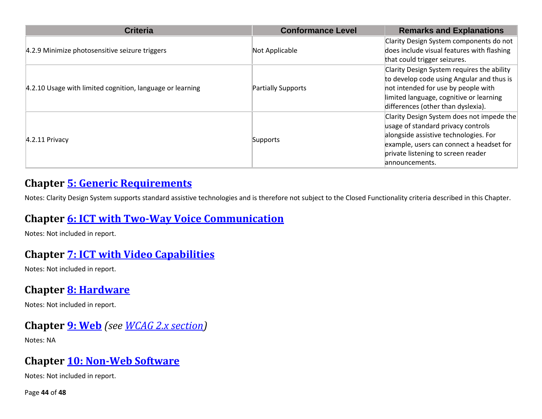| <b>Criteria</b>                                           | <b>Conformance Level</b> | <b>Remarks and Explanations</b>                                                                                                                                                                                               |
|-----------------------------------------------------------|--------------------------|-------------------------------------------------------------------------------------------------------------------------------------------------------------------------------------------------------------------------------|
| 4.2.9 Minimize photosensitive seizure triggers            | Not Applicable           | Clarity Design System components do not<br>does include visual features with flashing<br>that could trigger seizures.                                                                                                         |
| 4.2.10 Usage with limited cognition, language or learning | Partially Supports       | Clarity Design System requires the ability<br>to develop code using Angular and thus is<br>not intended for use by people with<br>limited language, cognitive or learning<br>differences (other than dyslexia).               |
| $4.2.11$ Privacy                                          | Supports                 | Clarity Design System does not impede the<br>usage of standard privacy controls<br>alongside assistive technologies. For<br>example, users can connect a headset for<br>private listening to screen reader<br>lannouncements. |

#### **Chapter [5: Generic Requirements](https://www.etsi.org/deliver/etsi_en/301500_301599/301549/03.01.01_60/en_301549v030101p.pdf#%5B%7B%22num%22%3A45%2C%22gen%22%3A0%7D%2C%7B%22name%22%3A%22XYZ%22%7D%2C54%2C747%2C0%5D)**

Notes: Clarity Design System supports standard assistive technologies and is therefore not subject to the Closed Functionality criteria described in this Chapter.

#### **Chapter [6: ICT with Two-Way Voice Communication](https://www.etsi.org/deliver/etsi_en/301500_301599/301549/03.01.01_60/en_301549v030101p.pdf#%5B%7B%22num%22%3A60%2C%22gen%22%3A0%7D%2C%7B%22name%22%3A%22XYZ%22%7D%2C54%2C747%2C0%5D)**

Notes: Not included in report.

#### **Chapter [7: ICT with Video Capabilities](https://www.etsi.org/deliver/etsi_en/301500_301599/301549/03.01.01_60/en_301549v030101p.pdf#%5B%7B%22num%22%3A70%2C%22gen%22%3A0%7D%2C%7B%22name%22%3A%22XYZ%22%7D%2C54%2C747%2C0%5D)**

Notes: Not included in report.

#### **Chapter [8: Hardware](https://www.etsi.org/deliver/etsi_en/301500_301599/301549/03.01.01_60/en_301549v030101p.pdf#%5B%7B%22num%22%3A74%2C%22gen%22%3A0%7D%2C%7B%22name%22%3A%22XYZ%22%7D%2C54%2C747%2C0%5D)**

Notes: Not included in report.

#### **Chapter [9: Web](https://www.etsi.org/deliver/etsi_en/301500_301599/301549/03.01.01_60/en_301549v030101p.pdf#%5B%7B%22num%22%3A113%2C%22gen%22%3A0%7D%2C%7B%22name%22%3A%22XYZ%22%7D%2C54%2C747%2C0%5D)** *(see [WCAG 2.x](#page-3-0) section)*

Notes: NA

#### **Chapter [10: Non-Web Software](https://www.etsi.org/deliver/etsi_en/301500_301599/301549/03.01.01_60/en_301549v030101p.pdf#%5B%7B%22num%22%3A127%2C%22gen%22%3A0%7D%2C%7B%22name%22%3A%22XYZ%22%7D%2C54%2C747%2C0%5D)**

Notes: Not included in report.

Page **44** of **48**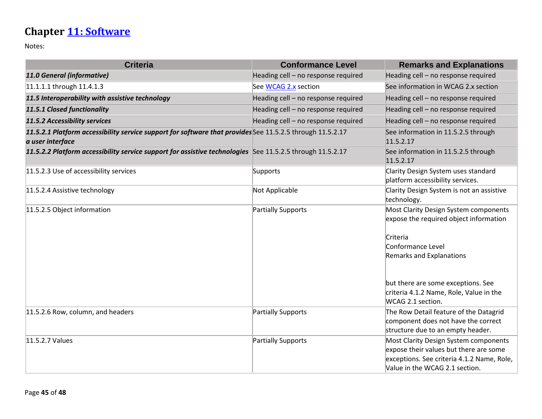# **Chapter [11: Software](https://www.etsi.org/deliver/etsi_en/301500_301599/301549/03.01.01_60/en_301549v030101p.pdf#%5B%7B%22num%22%3A149%2C%22gen%22%3A0%7D%2C%7B%22name%22%3A%22XYZ%22%7D%2C54%2C747%2C0%5D)**

| <b>Criteria</b>                                                                                                               | <b>Conformance Level</b>            | <b>Remarks and Explanations</b>                                                 |
|-------------------------------------------------------------------------------------------------------------------------------|-------------------------------------|---------------------------------------------------------------------------------|
| 11.0 General (informative)                                                                                                    | Heading cell - no response required | Heading cell - no response required                                             |
| 11.1.1.1 through 11.4.1.3                                                                                                     | See WCAG 2.x section                | See information in WCAG 2.x section                                             |
| 11.5 Interoperability with assistive technology                                                                               | Heading cell - no response required | Heading cell - no response required                                             |
| 11.5.1 Closed functionality                                                                                                   | Heading cell - no response required | Heading cell - no response required                                             |
| 11.5.2 Accessibility services                                                                                                 | Heading cell - no response required | Heading cell - no response required                                             |
| 11.5.2.1 Platform accessibility service support for software that provides See 11.5.2.5 through 11.5.2.17<br>a user interface |                                     | See information in 11.5.2.5 through<br>11.5.2.17                                |
| 11.5.2.2 Platform accessibility service support for assistive technologies See 11.5.2.5 through 11.5.2.17                     |                                     | See information in 11.5.2.5 through<br>11.5.2.17                                |
| 11.5.2.3 Use of accessibility services                                                                                        | Supports                            | Clarity Design System uses standard<br>platform accessibility services.         |
| 11.5.2.4 Assistive technology                                                                                                 | Not Applicable                      | Clarity Design System is not an assistive<br>technology.                        |
| 11.5.2.5 Object information                                                                                                   | Partially Supports                  | Most Clarity Design System components<br>expose the required object information |
|                                                                                                                               |                                     | Criteria                                                                        |
|                                                                                                                               |                                     | Conformance Level                                                               |
|                                                                                                                               |                                     | <b>Remarks and Explanations</b>                                                 |
|                                                                                                                               |                                     | but there are some exceptions. See                                              |
|                                                                                                                               |                                     | criteria 4.1.2 Name, Role, Value in the                                         |
|                                                                                                                               |                                     | WCAG 2.1 section.                                                               |
| 11.5.2.6 Row, column, and headers                                                                                             | Partially Supports                  | The Row Detail feature of the Datagrid                                          |
|                                                                                                                               |                                     | component does not have the correct<br>structure due to an empty header.        |
| 11.5.2.7 Values                                                                                                               | Partially Supports                  | Most Clarity Design System components                                           |
|                                                                                                                               |                                     | expose their values but there are some                                          |
|                                                                                                                               |                                     | exceptions. See criteria 4.1.2 Name, Role,                                      |
|                                                                                                                               |                                     | Value in the WCAG 2.1 section.                                                  |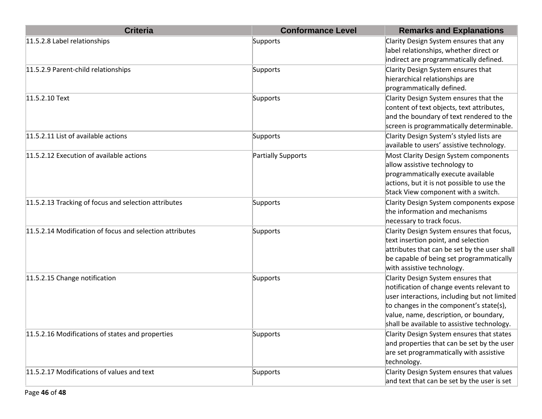| <b>Criteria</b>                                          | <b>Conformance Level</b> | <b>Remarks and Explanations</b>                                                                                                                                                                                                                                     |
|----------------------------------------------------------|--------------------------|---------------------------------------------------------------------------------------------------------------------------------------------------------------------------------------------------------------------------------------------------------------------|
| 11.5.2.8 Label relationships                             | Supports                 | Clarity Design System ensures that any<br>label relationships, whether direct or<br>indirect are programmatically defined.                                                                                                                                          |
| 11.5.2.9 Parent-child relationships                      | Supports                 | Clarity Design System ensures that<br>hierarchical relationships are<br>programmatically defined.                                                                                                                                                                   |
| 11.5.2.10 Text                                           | Supports                 | Clarity Design System ensures that the<br>content of text objects, text attributes,<br>and the boundary of text rendered to the<br>screen is programmatically determinable.                                                                                         |
| 11.5.2.11 List of available actions                      | Supports                 | Clarity Design System's styled lists are<br>available to users' assistive technology.                                                                                                                                                                               |
| 11.5.2.12 Execution of available actions                 | Partially Supports       | Most Clarity Design System components<br>allow assistive technology to<br>programmatically execute available<br>actions, but it is not possible to use the<br>Stack View component with a switch.                                                                   |
| 11.5.2.13 Tracking of focus and selection attributes     | Supports                 | Clarity Design System components expose<br>the information and mechanisms<br>necessary to track focus.                                                                                                                                                              |
| 11.5.2.14 Modification of focus and selection attributes | Supports                 | Clarity Design System ensures that focus,<br>text insertion point, and selection<br>attributes that can be set by the user shall<br>be capable of being set programmatically<br>with assistive technology.                                                          |
| 11.5.2.15 Change notification                            | Supports                 | Clarity Design System ensures that<br>notification of change events relevant to<br>user interactions, including but not limited<br>to changes in the component's state(s),<br>value, name, description, or boundary,<br>shall be available to assistive technology. |
| 11.5.2.16 Modifications of states and properties         | Supports                 | Clarity Design System ensures that states<br>and properties that can be set by the user<br>are set programmatically with assistive<br>technology.                                                                                                                   |
| 11.5.2.17 Modifications of values and text               | Supports                 | Clarity Design System ensures that values<br>and text that can be set by the user is set                                                                                                                                                                            |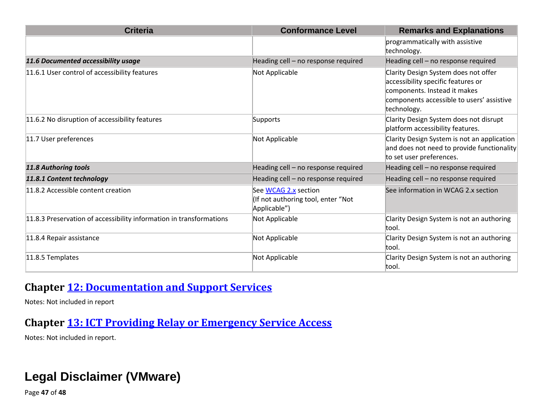| <b>Criteria</b>                                                     | <b>Conformance Level</b>                                                   | <b>Remarks and Explanations</b>                                                                                                                                        |
|---------------------------------------------------------------------|----------------------------------------------------------------------------|------------------------------------------------------------------------------------------------------------------------------------------------------------------------|
|                                                                     |                                                                            | programmatically with assistive<br>technology.                                                                                                                         |
| 11.6 Documented accessibility usage                                 | Heading cell - no response required                                        | Heading cell - no response required                                                                                                                                    |
| 11.6.1 User control of accessibility features                       | Not Applicable                                                             | Clarity Design System does not offer<br>accessibility specific features or<br>components. Instead it makes<br>components accessible to users' assistive<br>technology. |
| 11.6.2 No disruption of accessibility features                      | Supports                                                                   | Clarity Design System does not disrupt<br>platform accessibility features.                                                                                             |
| 11.7 User preferences                                               | Not Applicable                                                             | Clarity Design System is not an application<br>and does not need to provide functionality<br>to set user preferences.                                                  |
| 11.8 Authoring tools                                                | Heading cell - no response required                                        | Heading cell - no response required                                                                                                                                    |
| 11.8.1 Content technology                                           | Heading cell - no response required                                        | Heading cell - no response required                                                                                                                                    |
| 11.8.2 Accessible content creation                                  | See WCAG 2.x section<br>(If not authoring tool, enter "Not<br>Applicable") | See information in WCAG 2.x section                                                                                                                                    |
| 11.8.3 Preservation of accessibility information in transformations | Not Applicable                                                             | Clarity Design System is not an authoring<br>ltool.                                                                                                                    |
| 11.8.4 Repair assistance                                            | Not Applicable                                                             | Clarity Design System is not an authoring<br>tool.                                                                                                                     |
| 11.8.5 Templates                                                    | Not Applicable                                                             | Clarity Design System is not an authoring<br>ltool.                                                                                                                    |

#### **Chapter [12: Documentation and Support Services](https://www.etsi.org/deliver/etsi_en/301500_301599/301549/03.01.01_60/en_301549v030101p.pdf#%5B%7B%22num%22%3A187%2C%22gen%22%3A0%7D%2C%7B%22name%22%3A%22XYZ%22%7D%2C54%2C747%2C0%5D)**

Notes: Not included in report

### **Chapter [13: ICT Providing Relay or Emergency Service Access](https://www.etsi.org/deliver/etsi_en/301500_301599/301549/03.01.01_60/en_301549v030101p.pdf#%5B%7B%22num%22%3A191%2C%22gen%22%3A0%7D%2C%7B%22name%22%3A%22XYZ%22%7D%2C54%2C747%2C0%5D)**

Notes: Not included in report.

# **Legal Disclaimer (VMware)**

Page **47** of **48**